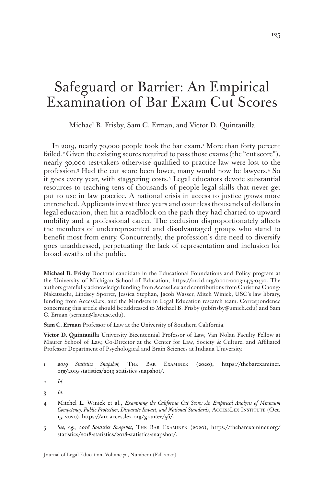# Safeguard or Barrier: An Empirical Examination of Bar Exam Cut Scores

Michael B. Frisby, Sam C. Erman, and Victor D. Quintanilla

In 2019, nearly 70,000 people took the bar exam.<sup>1</sup> More than forty percent failed.<sup>2</sup> Given the existing scores required to pass those exams (the "cut score"), nearly 30,000 test-takers otherwise qualified to practice law were lost to the profession.3 Had the cut score been lower, many would now be lawyers.4 So it goes every year, with staggering costs.5 Legal educators devote substantial resources to teaching tens of thousands of people legal skills that never get put to use in law practice. A national crisis in access to justice grows more entrenched. Applicants invest three years and countless thousands of dollars in legal education, then hit a roadblock on the path they had charted to upward mobility and a professional career. The exclusion disproportionately affects the members of underrepresented and disadvantaged groups who stand to benefit most from entry. Concurrently, the profession's dire need to diversify goes unaddressed, perpetuating the lack of representation and inclusion for broad swaths of the public.

**Michael B. Frisby** Doctoral candidate in the Educational Foundations and Policy program at the University of Michigan School of Education, https://orcid.org/0000-0003-1475-0470. The authors gratefully acknowledge funding from AccessLex and contributions from Christina Chong-Nakatsuchi, Lindsey Sporrer, Jessica Stephan, Jacob Wasser, Mitch Winick, USC's law library, funding from AccessLex, and the Mindsets in Legal Education research team. Correspondence concerning this article should be addressed to Michael B. Frisby (mbfrisby@umich.edu) and Sam C. Erman (serman@law.usc.edu).

**Sam C. Erman** Professor of Law at the University of Southern California.

**Victor D. Quintanilla** University Bicentennial Professor of Law, Van Nolan Faculty Fellow at Maurer School of Law, Co-Director at the Center for Law, Society & Culture, and Affiliated Professor Department of Psychological and Brain Sciences at Indiana University.

1 *2019 Statistics Snapshot,* The Bar Examiner (2020), https://thebarexaminer. org/2019-statistics/2019-statistics-snapshot/.

- 4 Mitchel L. Winick et al., *Examining the California Cut Score: An Empirical Analysis of Minimum Competency, Public Protection, Disparate Impact, and National Standards*, AccessLex Institute (Oct. 15, 2020), https://arc.accesslex.org/grantee/56/.
- 5 *See, e.g.*, *2018 Statistics Snapshot*, The Bar Examiner (2020), https://thebarexaminer.org/ statistics/2018-statistics/2018-statistics-snapshot/.

Journal of Legal Education, Volume 70, Number 1 (Fall 2020)

 $\Omega$  *Id.* 

<sup>3</sup> *Id*.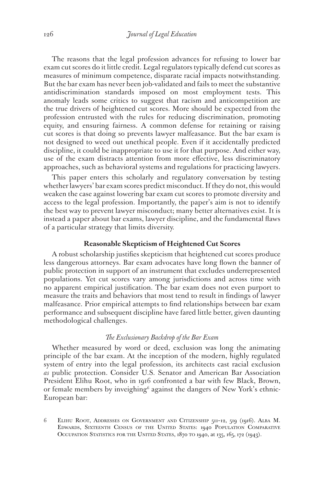The reasons that the legal profession advances for refusing to lower bar exam cut scores do it little credit. Legal regulators typically defend cut scores as measures of minimum competence, disparate racial impacts notwithstanding. But the bar exam has never been job-validated and fails to meet the substantive antidiscrimination standards imposed on most employment tests. This anomaly leads some critics to suggest that racism and anticompetition are the true drivers of heightened cut scores. More should be expected from the profession entrusted with the rules for reducing discrimination, promoting equity, and ensuring fairness. A common defense for retaining or raising cut scores is that doing so prevents lawyer malfeasance. But the bar exam is not designed to weed out unethical people. Even if it accidentally predicted discipline, it could be inappropriate to use it for that purpose. And either way, use of the exam distracts attention from more effective, less discriminatory approaches, such as behavioral systems and regulations for practicing lawyers.

This paper enters this scholarly and regulatory conversation by testing whether lawyers' bar exam scores predict misconduct. If they do not, this would weaken the case against lowering bar exam cut scores to promote diversity and access to the legal profession. Importantly, the paper's aim is not to identify the best way to prevent lawyer misconduct; many better alternatives exist. It is instead a paper about bar exams, lawyer discipline, and the fundamental flaws of a particular strategy that limits diversity.

# **Reasonable Skepticism of Heightened Cut Scores**

A robust scholarship justifies skepticism that heightened cut scores produce less dangerous attorneys. Bar exam advocates have long flown the banner of public protection in support of an instrument that excludes underrepresented populations. Yet cut scores vary among jurisdictions and across time with no apparent empirical justification. The bar exam does not even purport to measure the traits and behaviors that most tend to result in findings of lawyer malfeasance. Prior empirical attempts to find relationships between bar exam performance and subsequent discipline have fared little better, given daunting methodological challenges.

# *The Exclusionary Backdrop of the Bar Exam*

Whether measured by word or deed, exclusion was long the animating principle of the bar exam. At the inception of the modern, highly regulated system of entry into the legal profession, its architects cast racial exclusion *as* public protection. Consider U.S. Senator and American Bar Association President Elihu Root, who in 1916 confronted a bar with few Black, Brown, or female members by inveighing<sup>6</sup> against the dangers of New York's ethnic-European bar:

6 Elihu Root, Addresses on Government and Citizenship 511–12, 519 (1916). Alba M. Edwards, Sixteenth Census of the United States: 1940 Population Comparative OCCUPATION STATISTICS FOR THE UNITED STATES, 1870 TO 1940, at 135, 165, 172 (1943).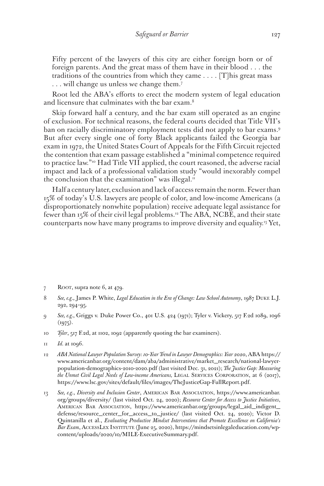Fifty percent of the lawyers of this city are either foreign born or of foreign parents. And the great mass of them have in their blood . . . the traditions of the countries from which they came . . . . [T]his great mass ... will change us unless we change them.<sup>7</sup>

Root led the ABA's efforts to erect the modern system of legal education and licensure that culminates with the bar exam.<sup>8</sup>

Skip forward half a century, and the bar exam still operated as an engine of exclusion. For technical reasons, the federal courts decided that Title VII's ban on racially discriminatory employment tests did not apply to bar exams.9 But after every single one of forty Black applicants failed the Georgia bar exam in 1972, the United States Court of Appeals for the Fifth Circuit rejected the contention that exam passage established a "minimal competence required to practice law."10 Had Title VII applied, the court reasoned, the adverse racial impact and lack of a professional validation study "would inexorably compel the conclusion that the examination" was illegal. $<sup>11</sup>$ </sup>

Half a century later, exclusion and lack of access remain the norm. Fewer than 15% of today's U.S. lawyers are people of color, and low-income Americans (a disproportionately nonwhite population) receive adequate legal assistance for fewer than 15% of their civil legal problems.12 The ABA, NCBE, and their state counterparts now have many programs to improve diversity and equality.13 Yet,

- 7 ROOT, supra note 6, at 479.
- 8 *See, e.g.*, James P. White, *Legal Education in the Era of Change: Law School Autonomy*, 1987 Duke L.J. 292, 294–95.
- 9 *See, e.g.*, Griggs v. Duke Power Co., 401 U.S. 424 (1971); Tyler v. Vickery, 517 F.2d 1089, 1096  $(1975).$
- 10 *Tyler*, 517 F.2d, at 1102, 1092 (apparently quoting the bar examiners).
- 11 *Id.* at 1096.
- 12 *ABA National Lawyer Population Survey: 10-Year Trend in Lawyer Demographics: Year 2020*, ABA https:// www.americanbar.org/content/dam/aba/administrative/market\_research/national-lawyerpopulation-demographics-2010-2020.pdf (last visited Dec. 31, 2021); *The Justice Gap: Measuring the Unmet Civil Legal Needs of Low-income Americans,* Legal Services Corporation, at 6 (2017), https://www.lsc.gov/sites/default/files/images/TheJusticeGap-FullReport.pdf.
- 13 *See, e.g.*, *Diversity and Inclusion Center*, American Bar Association, https://www.americanbar. org/groups/diversity/ (last visited Oct. 24, 2020); *Resource Center for Access to Justice Initiatives*, American Bar Association, https://www.americanbar.org/groups/legal\_aid\_indigent\_ defense/resource\_center\_for\_access\_to\_justice/ (last visited Oct. 24, 2020); Victor D. Quintanilla et al., *Evaluating Productive Mindset Interventions that Promote Excellence on California's Bar Exam*, AccessLex Institute (June 25, 2020), https://mindsetsinlegaleducation.com/wpcontent/uploads/2020/10/MILE-ExecutiveSummary.pdf.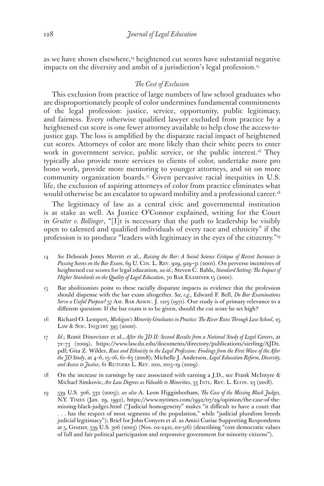as we have shown elsewhere,<sup>14</sup> heightened cut scores have substantial negative impacts on the diversity and ambit of a jurisdiction's legal profession.<sup>15</sup>

# *The Cost of Exclusion*

This exclusion from practice of large numbers of law school graduates who are disproportionately people of color undermines fundamental commitments of the legal profession: justice, service, opportunity, public legitimacy, and fairness. Every otherwise qualified lawyer excluded from practice by a heightened cut score is one fewer attorney available to help close the access-tojustice gap. The loss is amplified by the disparate racial impact of heightened cut scores. Attorneys of color are more likely than their white peers to enter work in government service, public service, or the public interest.<sup>16</sup> They typically also provide more services to clients of color, undertake more pro bono work, provide more mentoring to younger attorneys, and sit on more community organization boards.17 Given pervasive racial inequities in U.S. life, the exclusion of aspiring attorneys of color from practice eliminates what would otherwise be an escalator to upward mobility and a professional career.<sup>18</sup>

The legitimacy of law as a central civic and governmental institution is at stake as well. As Justice O'Connor explained, writing for the Court in *Grutter v. Bollinger*, "[I]t is necessary that the path to leadership be visibly open to talented and qualified individuals of every race and ethnicity" if the profession is to produce "leaders with legitimacy in the eyes of the citizenry."19

- 14 *See* Deborah Jones Merritt et al., *Raising the Bar: A Social Science Critique of Recent Increases to Passing Scores on the Bar Exam*, 69 U. Cin. L. Rev. 929, 929–31 (2001). On perverse incentives of heightened cut scores for legal education, *see id.*; Steven C. Bahls, *Standard Setting: The Impact of Higher Standards on the Quality of Legal Education*, 70 BAR EXAMINER 15 (2001).
- 15 Bar abolitionists point to these racially disparate impacts as evidence that the profession should dispense with the bar exam altogether. *See, e.g.*, Edward F. Bell, *Do Bar Examinations Serve a Useful Purpose?* 57 Am. Bar Assoc. J. 1215 (1971). Our study is of primary relevance to a different question: If the bar exam is to be given, should the cut score be set high?
- 16 Richard O. Lempert, *Michigan's Minority Graduates in Practice: The River Runs Through Law School*, 25 LAW & SOC. INQUIRY 395 (2000).
- 17 *Id.*; Ronit Dinovitzer et al., *After the JD II: Second Results from a National Study of Legal Careers*, at 72–73 (2009), https://www.law.du.edu/documents/directory/publications/sterling/AJD2. pdf; Gita Z. Wilder, *Race and Ethnicity in the Legal Profession: Findings from the First Wave of the After the JD Study*, at 4–6, 15–16, 61–63 (2008); Michelle J. Anderson, *Legal Education Reform, Diversity,*  and Access to Justice, 61 RUTGERS L. REV. 1011, 1015-19 (2009).
- 18 On the increase in earnings by race associated with earning a J.D., see Frank McIntyre & Michael Simkovic, *Are Law Degrees as Valuable to Minorities*, 53 INTL. REV. L. ECON. 23 (2018).
- 19 539 U.S. 306, 332 (2003); *see also* A. Leon Higginbotham, *The Case of the Missing Black Judges,* N.Y. Times (Jan. 29, 1992), https://www.nytimes.com/1992/07/29/opinion/the-case-of-themissing-black-judges.html ("Judicial homogeneity" makes "it difficult to have a court that . . . has the respect of most segments of the population," while "judicial pluralism breeds judicial legitimacy"); Brief for John Conyers et al. as Amici Curiae Supporting Respondents at 5, Grutter, 539 U.S. 306 (2003) (Nos. 02-2421, 02-516) (describing "core democratic values of full and fair political participation and responsive government for minority citizens").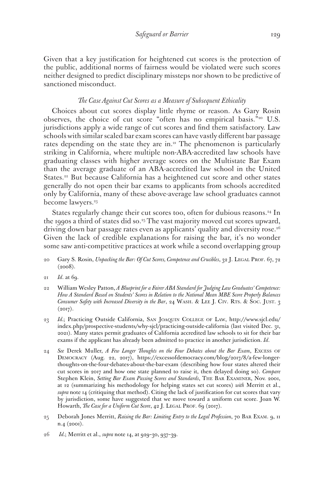Given that a key justification for heightened cut scores is the protection of the public, additional norms of fairness would be violated were such scores neither designed to predict disciplinary missteps nor shown to be predictive of sanctioned misconduct.

# *The Case Against Cut Scores as a Measure of Subsequent Ethicality*

Choices about cut scores display little rhyme or reason. As Gary Rosin observes, the choice of cut score "often has no empirical basis."20 U.S. jurisdictions apply a wide range of cut scores and find them satisfactory. Law schools with similar scaled bar exam scores can have vastly different bar passage rates depending on the state they are in.<sup>21</sup> The phenomenon is particularly striking in California, where multiple non-ABA-accredited law schools have graduating classes with higher average scores on the Multistate Bar Exam than the average graduate of an ABA-accredited law school in the United States.<sup>22</sup> But because California has a heightened cut score and other states generally do not open their bar exams to applicants from schools accredited only by California, many of these above-average law school graduates cannot become lawyers.<sup>23</sup>

States regularly change their cut scores too, often for dubious reasons.<sup>24</sup> In the 1990s a third of states did so.25 The vast majority moved cut scores upward, driving down bar passage rates even as applicants' quality and diversity rose.<sup>26</sup> Given the lack of credible explanations for raising the bar, it's no wonder some saw anti-competitive practices at work while a second overlapping group

- 20 Gary S. Rosin, *Unpacking the Bar: Of Cut Scores, Competence and Crucibles*, 32 J. LEGAL PROF. 67, 72  $(2008).$
- 21 *Id*. at 69.
- 22 William Wesley Patton, *A Blueprint for a Fairer ABA Standard for Judging Law Graduates' Competence: How A Standard Based on Students' Scores in Relation to the National Mean MBE Score Properly Balances Consumer Safety with Increased Diversity in the Bar, 24 WASH. & LEE J. CIV. RTS. & SOC. JUST. 3*  $(2017).$
- 23 *Id.*; Practicing Outside California, San Joaquin College of Law, http://www.sjcl.edu/ index.php/prospective-students/why-sjcl/practicing-outside-california (last visited Dec. 31, 2021). Many states permit graduates of California accredited law schools to sit for their bar exams if the applicant has already been admitted to practice in another jurisdiction. *Id*.
- 24 *See* Derek Muller, *A Few Longer Thoughts on the Four Debates about the Bar Exam*, Excess of Democracy (Aug. 22, 2017), https://excessofdemocracy.com/blog/2017/8/a-few-longerthoughts-on-the-four-debates-about-the-bar-exam (describing how four states altered their cut scores in 2017 and how one state planned to raise it, then delayed doing so). *Compare*  Stephen Klein, *Setting Bar Exam Passing Scores and Standards*, The Bar Examiner, Nov. 2001, at 12 (summarizing his methodology for helping states set cut scores) *with* Merritt et al., *supra* note 14 (critiquing that method). Citing the lack of justification for cut scores that vary by jurisdiction, some have suggested that we move toward a uniform cut score. Joan W. Howarth, *The Case for a Uniform Cut Score*, 42 J. LEGAL PROF. 69 (2017).
- 25 Deborah Jones Merritt, *Raising the Bar: Limiting Entry to the Legal Profession*, 70 Bar Exam. 9, 11 n.4 (2001).
- 26 *Id.*; Merritt et al., *supra* note 14, at 929–30, 937–39.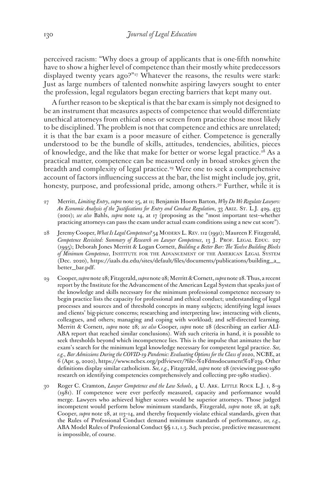perceived racism: "Why does a group of applicants that is one-fifth nonwhite have to show a higher level of competence than their mostly white predecessors displayed twenty years ago?"<sup>27</sup> Whatever the reasons, the results were stark: Just as large numbers of talented nonwhite aspiring lawyers sought to enter the profession, legal regulators began erecting barriers that kept many out.

A further reason to be skeptical is that the bar exam is simply not designed to be an instrument that measures aspects of competence that would differentiate unethical attorneys from ethical ones or screen from practice those most likely to be disciplined. The problem is not that competence and ethics are unrelated; it is that the bar exam is a poor measure of either. Competence is generally understood to be the bundle of skills, attitudes, tendencies, abilities, pieces of knowledge, and the like that make for better or worse legal practice.<sup>28</sup> As a practical matter, competence can be measured only in broad strokes given the breadth and complexity of legal practice.<sup>29</sup> Were one to seek a comprehensive account of factors influencing success at the bar, the list might include joy, grit, honesty, purpose, and professional pride, among others.<sup>30</sup> Further, while it is

- 27 Merritt, *Limiting Entry*, *supra* note 25, at 11; Benjamin Hoorn Barton, *Why Do We Regulate Lawyers: An Economic Analysis of the Justifications for Entry and Conduct Regulation*, 33 Ariz. St. L.J. 429, 433 (2001); *see also* Bahls, *supra* note 14, at 17 (proposing as the "most important test--whether practicing attorneys can pass the exam under actual exam conditions using a new cut score").
- 28 Jeremy Cooper, *What Is Legal Competence?* 54 Modern L. Rev. 112 (1991); Maureen F. Fitzgerald, *Competence Revisited: Summary of Research on Lawyer Competence*, 13 J. PROF. LEGAL EDUC. 227 (1995); Deborah Jones Merritt & Logan Cornett, *Building a Better Bar: The Twelve Building Blocks of Minimum Competence*, Institute for the Advancement of the American Legal System (Dec. 2020), https://iaals.du.edu/sites/default/files/documents/publications/building\_a\_ better\_bar.pdf.
- 29 Cooper, *supra* note 28; Fitzgerald, *supra* note 28; Merritt & Cornett, *supra* note 28. Thus, a recent report by the Institute for the Advancement of the American Legal System that speaks just of the knowledge and skills necessary for the minimum professional competence necessary to begin practice lists the capacity for professional and ethical conduct; understanding of legal processes and sources and of threshold concepts in many subjects; identifying legal issues and clients' big-picture concerns; researching and interpreting law; interacting with clients, colleagues, and others; managing and coping with workload; and self-directed learning. Merritt & Cornett, *supra* note 28; *see also* Cooper, *supra* note 28 (describing an earlier ALI-ABA report that reached similar conclusions). With such criteria in hand, it is possible to seek thresholds beyond which incompetence lies. This is the impulse that animates the bar exam's search for the minimum legal knowledge necessary for competent legal practice. *See, e.g.*, *Bar Admissions During the COVID-19 Pandemic: Evaluating Options for the Class of 2020*, NCBE, at 6 (Apr. 9, 2020), https://www.ncbex.org/pdfviewer/?file=%2Fdmsdocument%2F239. Other definitions display similar catholicism. *See, e.g.*, Fitzgerald, *supra* note 28 (reviewing post-1980 research on identifying competencies comprehensively and collecting pre-1980 studies).
- 30 Roger C. Cramton, *Lawyer Competence and the Law Schools*, 4 U. ARK. LITTLE ROCK L.J. 1, 8-9 (1981). If competence were ever perfectly measured, capacity and performance would merge. Lawyers who achieved higher scores would be superior attorneys. Those judged incompetent would perform below minimum standards, Fitzgerald, *supra* note 28, at 248; Cooper, *supra* note 28, at 113–14, and thereby frequently violate ethical standards, given that the Rules of Professional Conduct demand minimum standards of performance, *see, e.g.*, ABA Model Rules of Professional Conduct §§ 1.1, 1.3. Such precise, predictive measurement is impossible, of course.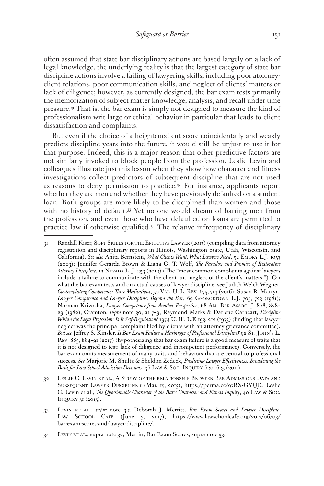often assumed that state bar disciplinary actions are based largely on a lack of legal knowledge, the underlying reality is that the largest category of state bar discipline actions involve a failing of lawyering skills, including poor attorneyclient relations, poor communication skills, and neglect of clients' matters or lack of diligence; however, as currently designed, the bar exam tests primarily the memorization of subject matter knowledge, analysis, and recall under time pressure.31 That is, the bar exam is simply not designed to measure the kind of professionalism writ large or ethical behavior in particular that leads to client dissatisfaction and complaints.

But even if the choice of a heightened cut score coincidentally and weakly predicts discipline years into the future, it would still be unjust to use it for that purpose. Indeed, this is a major reason that other predictive factors are not similarly invoked to block people from the profession. Leslie Levin and colleagues illustrate just this lesson when they show how character and fitness investigations collect predictors of subsequent discipline that are not used as reasons to deny permission to practice.32 For instance, applicants report whether they are men and whether they have previously defaulted on a student loan. Both groups are more likely to be disciplined than women and those with no history of default.<sup>33</sup> Yet no one would dream of barring men from the profession, and even those who have defaulted on loans are permitted to practice law if otherwise qualified.34 The relative infrequency of disciplinary

<sup>31</sup> Randall Kiser, SOFT SKILLS FOR THE EFFECTIVE LAWYER (2017) (compiling data from attorney registration and disciplinary reports in Illinois, Washington State, Utah, Wisconsin, and California). *See also* Anita Bernstein, *What Clients Want, What Lawyers Need*, 52 Emory L.J. 1053 (2003); Jennifer Gerarda Brown & Liana G. T. Wolf, *The Paradox and Promise of Restorative Attorney Discipline*, 12 Nevada L. J. 253 (2012) (The "most common complaints against lawyers include a failure to communicate with the client and neglect of the client's matters."). On what the bar exam tests and on actual causes of lawyer discipline, see Judith Welch Wegner, *Contemplating Competence: Three Meditations*, 50 Val. U. L. Rev. 675, 714 (2016); Susan R. Martyn, Lawyer Competence and Lawyer Discipline: Beyond the Bar, 69 GEORGETOWN L.J. 705, 723 (1981); Norman Krivosha, *Lawyer Competence from Another Perspective*, 68 Am. Bar Assoc. J. 828, 828– 29 (1982); Cramton, *supra* note 30, at 7–9; Raymond Marks & Darlene Cathcart, *Discipline Within the Legal Profession: Is It Self-Regulation?* 1974 U. Ill. L.F. 193, 212 (1973) (finding that lawyer neglect was the principal complaint filed by clients with an attorney grievance committee). *But see* Jeffrey S. Kinsler, *Is Bar Exam Failure a Harbinger of Professional Discipline?* 92 St. John's L. Rev. 883, 884–91 (2017) (hypothesizing that bar exam failure is a good measure of traits that it is not designed to test: lack of diligence and incompetent performance). Conversely, the bar exam omits measurement of many traits and behaviors that are central to professional success. *See* Marjorie M. Shultz & Sheldon Zedeck, *Predicting Lawyer Effectiveness: Broadening the Basis for Law School Admission Decisions*, 36 Law & Soc. Inquiry 620, 625 (2011).

<sup>32</sup> Leslie C. Levin et al., A Study of the relationship Between Bar Admissions Data and Subsequent Lawyer Discipline 1 (Mar. 15, 2013), https://perma.cc/97RX-GYQK; Leslie C. Levin et al., *The Questionable Character of the Bar's Character and Fitness Inquiry*, 40 Law & Soc. INQUIRY  $5I(2015)$ .

<sup>33</sup> Levin et al., *supra* note 32; Deborah J. Merritt, *Bar Exam Scores and Lawyer Discipline*, LAW SCHOOL CAFE (June 3, 2017), https://www.lawschoolcafe.org/2017/06/03/ bar-exam-scores-and-lawyer-discipline/.

<sup>34</sup> Levin et al., supra note 32; Merritt, Bar Exam Scores, supra note 33.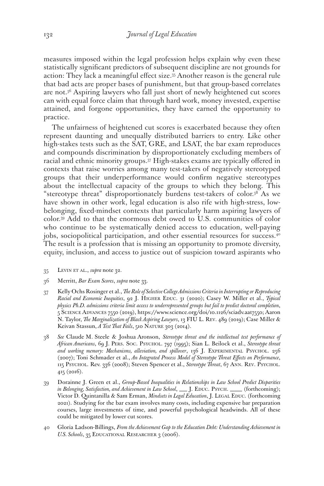measures imposed within the legal profession helps explain why even these statistically significant predictors of subsequent discipline are not grounds for action: They lack a meaningful effect size.35 Another reason is the general rule that bad acts are proper bases of punishment, but that group-based correlates are not.36 Aspiring lawyers who fall just short of newly heightened cut scores can with equal force claim that through hard work, money invested, expertise attained, and forgone opportunities, they have earned the opportunity to practice.

The unfairness of heightened cut scores is exacerbated because they often represent daunting and unequally distributed barriers to entry. Like other high-stakes tests such as the SAT, GRE, and LSAT, the bar exam reproduces and compounds discrimination by disproportionately excluding members of racial and ethnic minority groups.37 High-stakes exams are typically offered in contexts that raise worries among many test-takers of negatively stereotyped groups that their underperformance would confirm negative stereotypes about the intellectual capacity of the groups to which they belong. This "stereotype threat" disproportionately burdens test-takers of color.38 As we have shown in other work, legal education is also rife with high-stress, lowbelonging, fixed-mindset contexts that particularly harm aspiring lawyers of color.39 Add to that the enormous debt owed to U.S. communities of color who continue to be systematically denied access to education, well-paying jobs, sociopolitical participation, and other essential resources for success.<sup>40</sup> The result is a profession that is missing an opportunity to promote diversity, equity, inclusion, and access to justice out of suspicion toward aspirants who

- 35 Levin et al., *supra* note 32.
- 36 Merritt, *Bar Exam Scores*, *supra* note 33.
- 37 Kelly Ochs Rosinger et al., *The Role of Selective College Admissions Criteria in Interrupting or Reproducing Racial and Economic Inequities*, 92 J. Higher Educ. 31 (2020); Casey W. Miller et al., *Typical physics Ph.D. admissions criteria limit access to underrepresented groups but fail to predict doctoral completion*, 5 Science Advances 7550 (2019), https://www.science.org/doi/10.1126/sciadv.aat7550; Aaron N. Taylor, *The Marginalization of Black Aspiring Lawyers*, 13 FIU L. Rev. 489 (2019); Case Miller & Keivan Stassun, *A Test That Fails*, 510 NATURE 303 (2014).
- 38 *See* Claude M. Steele & Joshua Aronson, *Stereotype threat and the intellectual test performance of African Americans*, 69 J. Pers. Soc. Psychol. 797 (1995); Sian L. Beilock et al., *Stereotype threat*  and working memory: Mechanisms, alleviation, and spillover, 136 J. EXPERIMENTAL PSYCHOL. 256 (2007); Toni Schmader et al., *An Integrated Process Model of Stereotype Threat Effects on Performance*, 115 Psychol. Rev. 336 (2008); Steven Spencer et al., *Stereotype Threat*, 67 Ann. Rev. Psychol. 415 (2016).
- 39 Dorainne J. Green et al., *Group-Based Inequalities in Relationships in Law School Predict Disparities in Belonging, Satisfaction, and Achievement in Law School*, \_\_\_ J. EDUC. PSYCH. \_\_\_ (forthcoming); Victor D. Quintanilla & Sam Erman, *Mindsets in Legal Education*, J. LEGAL EDUC. (forthcoming 2021). Studying for the bar exam involves many costs, including expensive bar preparation courses, large investments of time, and powerful psychological headwinds. All of these could be mitigated by lower cut scores.
- 40 Gloria Ladson-Billings, *From the Achievement Gap to the Education Debt: Understanding Achievement in U.S. Schools*, 35 Educational Researcher 3 (2006).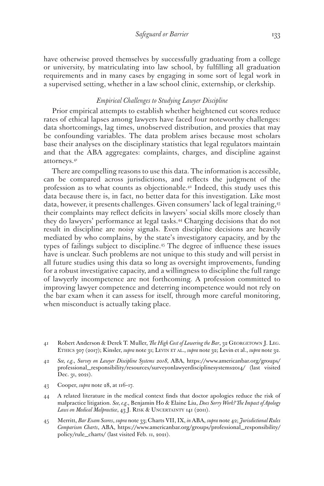have otherwise proved themselves by successfully graduating from a college or university, by matriculating into law school, by fulfilling all graduation requirements and in many cases by engaging in some sort of legal work in a supervised setting, whether in a law school clinic, externship, or clerkship.

# *Empirical Challenges to Studying Lawyer Discipline*

Prior empirical attempts to establish whether heightened cut scores reduce rates of ethical lapses among lawyers have faced four noteworthy challenges: data shortcomings, lag times, unobserved distribution, and proxies that may be confounding variables. The data problem arises because most scholars base their analyses on the disciplinary statistics that legal regulators maintain and that the ABA aggregates: complaints, charges, and discipline against attorneys.41

There are compelling reasons to use this data. The information is accessible, can be compared across jurisdictions, and reflects the judgment of the profession as to what counts as objectionable.<sup>42</sup> Indeed, this study uses this data because there is, in fact, no better data for this investigation. Like most data, however, it presents challenges. Given consumers' lack of legal training,43 their complaints may reflect deficits in lawyers' social skills more closely than they do lawyers' performance at legal tasks.<sup>44</sup> Charging decisions that do not result in discipline are noisy signals. Even discipline decisions are heavily mediated by who complains, by the state's investigatory capacity, and by the types of failings subject to discipline.45 The degree of influence these issues have is unclear. Such problems are not unique to this study and will persist in all future studies using this data so long as oversight improvements, funding for a robust investigative capacity, and a willingness to discipline the full range of lawyerly incompetence are not forthcoming. A profession committed to improving lawyer competence and deterring incompetence would not rely on the bar exam when it can assess for itself, through more careful monitoring, when misconduct is actually taking place.

- 43 Cooper, *supra* note 28, at 116–17.
- 44 A related literature in the medical context finds that doctor apologies reduce the risk of malpractice litigation. *See, e.g.*, Benjamin Ho & Elaine Liu, *Does Sorry Work? The Impact of Apology*  Laws on Medical Malpractice, 43 J. RISK & UNCERTAINTY 141 (2011).
- 45 Merritt, *Bar Exam Scores*, *supra* note 33; Charts VII, IX, *in* ABA, *supra* note 42; *Jurisdictional Rules Comparison Charts*, ABA, https://www.americanbar.org/groups/professional\_responsibility/ policy/rule\_charts/ (last visited Feb. 11, 2021).

<sup>41</sup> Robert Anderson & Derek T. Muller, *The High Cost of Lowering the Bar*, 32 Georgetown J. Leg. Ethics 307 (2017); Kinsler, *supra* note 31; Levin et al., *supra* note 32; Levin et al., *supra* note 32.

<sup>42</sup> *See, e.g.*, *Survey on Lawyer Discipline Systems 2018*, ABA, https://www.americanbar.org/groups/ professional\_responsibility/resources/surveyonlawyerdisciplinesystems2014/ (last visited Dec. 31, 2021).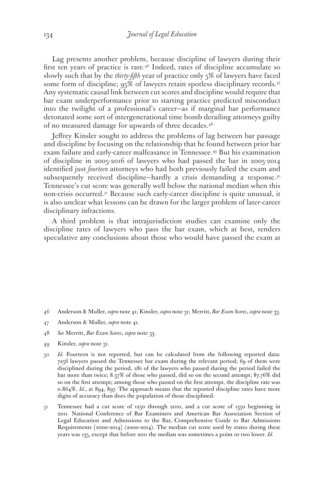Lag presents another problem, because discipline of lawyers during their first ten years of practice is rare.<sup>46</sup> Indeed, rates of discipline accumulate so slowly such that by the *thirty-fifth* year of practice only 5% of lawyers have faced some form of discipline; 95% of lawyers retain spotless disciplinary records.<sup>47</sup> Any systematic causal link between cut scores and discipline would require that bar exam underperformance prior to starting practice predicted misconduct into the twilight of a professional's career—as if marginal bar performance detonated some sort of intergenerational time bomb derailing attorneys guilty of no measured damage for upwards of three decades.<sup>48</sup>

Jeffrey Kinsler sought to address the problems of lag between bar passage and discipline by focusing on the relationship that he found between prior bar exam failure and early-career malfeasance in Tennessee.49 But his examination of discipline in 2005-2016 of lawyers who had passed the bar in 2005-2014 identified just *fourteen* attorneys who had both previously failed the exam and subsequently received discipline–hardly a crisis demanding a response.<sup>50</sup> Tennessee's cut score was generally well below the national median when this non-crisis occurred.51 Because such early-career discipline is quite unusual, it is also unclear what lessons can be drawn for the larger problem of later-career disciplinary infractions.

A third problem is that intrajurisdiction studies can examine only the discipline rates of lawyers who pass the bar exam, which at best, renders speculative any conclusions about those who would have passed the exam at

- 46 Anderson & Muller, *supra* note 41; Kinsler, *supra* note 31; Merritt, *Bar Exam Scores*, *supra* note 33.
- 47 Anderson & Muller, *supra* note 41.
- 48 *See* Merritt, *Bar Exam Scores*, *supra* note 33.
- 49 Kinsler, *supra* note 31.
- 50 *Id.* Fourteen is not reported, but can be calculated from the following reported data: 7256 lawyers passed the Tennessee bar exam during the relevant period; 69 of them were disciplined during the period, 281 of the lawyers who passed during the period failed the bar more than twice; 8.37% of those who passed, did so on the second attempt; 87.76% did so on the first attempt; among those who passed on the first attempt, the discipline rate was 0.864%. *Id.*, at 894, 897. The approach means that the reported discipline rates have more digits of accuracy than does the population of those disciplined.
- 51 Tennessee had a cut score of 1250 through 2010, and a cut score of 1350 beginning in 2011. National Conference of Bar Examiners and American Bar Association Section of Legal Education and Admissions to the Bar, Comprehensive Guide to Bar Admissions Requirements [2000-2014] (2000-2014). The median cut score used by states during these years was 135, except that before 2011 the median was sometimes a point or two lower. *Id.*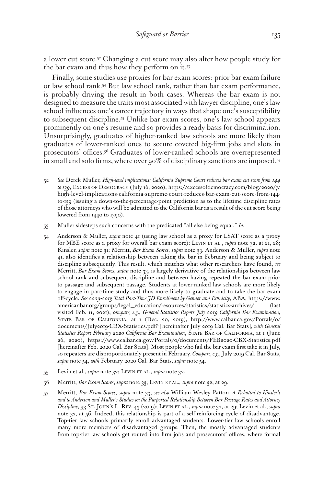a lower cut score.52 Changing a cut score may also alter how people study for the bar exam and thus how they perform on it.53

Finally, some studies use proxies for bar exam scores: prior bar exam failure or law school rank.54 But law school rank, rather than bar exam performance, is probably driving the result in both cases. Whereas the bar exam is not designed to measure the traits most associated with lawyer discipline, one's law school influences one's career trajectory in ways that shape one's susceptibility to subsequent discipline.55 Unlike bar exam scores, one's law school appears prominently on one's resume and so provides a ready basis for discrimination. Unsurprisingly, graduates of higher-ranked law schools are more likely than graduates of lower-ranked ones to secure coveted big-firm jobs and slots in prosecutors' offices.56 Graduates of lower-ranked schools are overrepresented in small and solo firms, where over 90% of disciplinary sanctions are imposed.57

- 52 *See* Derek Muller, *High-level implications: California Supreme Court reduces bar exam cut score from 144 to 139*, Excess of Democracy (July 16, 2020), https://excessofdemocracy.com/blog/2020/7/ high-level-implications-california-supreme-court-reduces-bar-exam-cut-score-from-144 to-139 (issuing a down-to-the-percentage-point prediction as to the lifetime discipline rates of those attorneys who will be admitted to the California bar as a result of the cut score being lowered from 1440 to 1390).
- 53 Muller sidesteps such concerns with the predicated "all else being equal." *Id.*
- 54 Anderson & Muller, *supra* note 41 (using law school as a proxy for LSAT score as a proxy for MBE score as a proxy for overall bar exam score); Levin et al., *supra* note 32, at 21, 28; Kinsler, *supra* note 31; Merritt, *Bar Exam Scores*, *supra* note 33. Anderson & Muller, *supra* note 41, also identifies a relationship between taking the bar in February and being subject to discipline subsequently. This result, which matches what other researchers have found, *see*  Merritt, *Bar Exam Scores*, *supra* note 33, is largely derivative of the relationships between law school rank and subsequent discipline and between having repeated the bar exam prior to passage and subsequent passage. Students at lower-ranked law schools are more likely to engage in part-time study and thus more likely to graduate and to take the bar exam off-cycle. *See 2009-2013 Total Part-Time JD Enrollment by Gender and Ethnicity*, ABA, https://www. americanbar.org/groups/legal\_education/resources/statistics/statistics-archives/ (last visited Feb. 11, 2021); *compare, e.g.*, *General Statistics Report July 2019 California Bar Examination*, State Bar of California, at 1 (Dec. 20, 2019), http://www.calbar.ca.gov/Portals/0/ documents/July2019-CBX-Statistics.pdf? [hereinafter July 2019 Cal. Bar Stats], *with General*  Statistics Report February 2020 California Bar Examination, STATE BAR OF CALIFORNIA, at 1 (June 26, 2020), https://www.calbar.ca.gov/Portals/0/documents/FEB2020-CBX-Statistics.pdf [hereinafter Feb. 2020 Cal. Bar Stats]. Most people who fail the bar exam first take it in July, so repeaters are disproportionately present in February. *Compare, e.g.*, July 2019 Cal. Bar Stats, *supra* note 54, *with* February 2020 Cal. Bar Stats, *supra* note 54.
- 55 Levin et al., *supra* note 32; Levin et al., *supra* note 32.
- 56 Merritt, *Bar Exam Scores*, *supra* note 33; Levin et al., *supra* note 32, at 29.
- 57 Merritt, *Bar Exam Scores*, *supra* note 33; *see also* William Wesley Patton, *A Rebuttal to Kinsler's and to Anderson and Muller's Studies on the Purported Relationship Between Bar Passage Rates and Attorney Discipline*, 93 St. John's L. Rev. 43 (2019); Levin et al., *supra* note 32, at 29; Levin et al., *supra*  note 32, at 56. Indeed, this relationship is part of a self-reinforcing cycle of disadvantage. Top-tier law schools primarily enroll advantaged students. Lower-tier law schools enroll many more members of disadvantaged groups. Then, the mostly advantaged students from top-tier law schools get routed into firm jobs and prosecutors' offices, where formal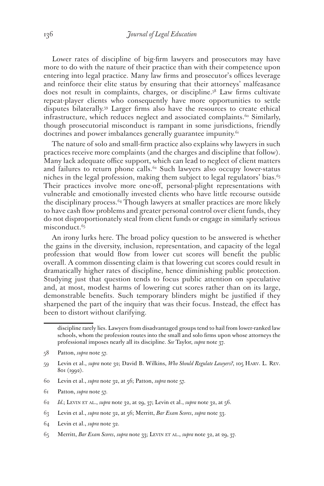Lower rates of discipline of big-firm lawyers and prosecutors may have more to do with the nature of their practice than with their competence upon entering into legal practice. Many law firms and prosecutor's offices leverage and reinforce their elite status by ensuring that their attorneys' malfeasance does not result in complaints, charges, or discipline.58 Law firms cultivate repeat-player clients who consequently have more opportunities to settle disputes bilaterally.59 Larger firms also have the resources to create ethical infrastructure, which reduces neglect and associated complaints.<sup>60</sup> Similarly, though prosecutorial misconduct is rampant in some jurisdictions, friendly doctrines and power imbalances generally guarantee impunity.<sup>61</sup>

The nature of solo and small-firm practice also explains why lawyers in such practices receive more complaints (and the charges and discipline that follow). Many lack adequate office support, which can lead to neglect of client matters and failures to return phone calls.<sup>62</sup> Such lawyers also occupy lower-status niches in the legal profession, making them subject to legal regulators' bias. $63$ Their practices involve more one-off, personal-plight representations with vulnerable and emotionally invested clients who have little recourse outside the disciplinary process.64 Though lawyers at smaller practices are more likely to have cash flow problems and greater personal control over client funds, they do not disproportionately steal from client funds or engage in similarly serious misconduct.<sup>65</sup>

An irony lurks here. The broad policy question to be answered is whether the gains in the diversity, inclusion, representation, and capacity of the legal profession that would flow from lower cut scores will benefit the public overall. A common dissenting claim is that lowering cut scores could result in dramatically higher rates of discipline, hence diminishing public protection. Studying just that question tends to focus public attention on speculative and, at most, modest harms of lowering cut scores rather than on its large, demonstrable benefits. Such temporary blinders might be justified if they sharpened the part of the inquiry that was their focus. Instead, the effect has been to distort without clarifying.

- 60 Levin et al., *supra* note 32, at 56; Patton, *supra* note 57.
- 61 Patton, *supra* note 57.

- 63 Levin et al., *supra* note 32, at 56; Merritt, *Bar Exam Scores*, *supra* note 33.
- 64 Levin et al., *supra* note 32.
- 65 Merritt, *Bar Exam Scores*, *supra* note 33; Levin et al., *supra* note 32, at 29, 37.

discipline rarely lies. Lawyers from disadvantaged groups tend to hail from lower-ranked law schools, whom the profession routes into the small and solo firms upon whose attorneys the professional imposes nearly all its discipline. *See* Taylor, *supra* note 37.

<sup>58</sup> Patton, *supra* note 57.

<sup>59</sup> Levin et al., *supra* note 32; David B. Wilkins, *Who Should Regulate Lawyers?*, 105 Harv. L. Rev. 801 (1992).

<sup>62</sup> *Id.*; Levin et al., *supra* note 32, at 29, 37; Levin et al., *supra* note 32, at 56.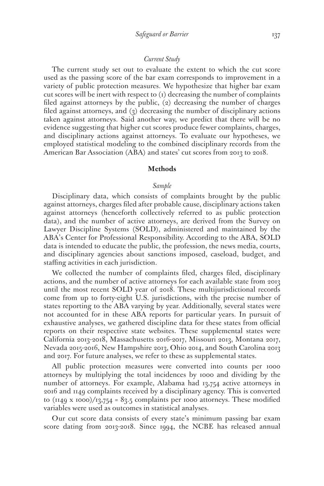#### *Current Study*

The current study set out to evaluate the extent to which the cut score used as the passing score of the bar exam corresponds to improvement in a variety of public protection measures. We hypothesize that higher bar exam cut scores will be inert with respect to  $(i)$  decreasing the number of complaints filed against attorneys by the public, (2) decreasing the number of charges filed against attorneys, and (3) decreasing the number of disciplinary actions taken against attorneys. Said another way, we predict that there will be no evidence suggesting that higher cut scores produce fewer complaints, charges, and disciplinary actions against attorneys. To evaluate our hypotheses, we employed statistical modeling to the combined disciplinary records from the American Bar Association (ABA) and states' cut scores from 2013 to 2018.

# **Methods**

# *Sample*

Disciplinary data, which consists of complaints brought by the public against attorneys, charges filed after probable cause, disciplinary actions taken against attorneys (henceforth collectively referred to as public protection data), and the number of active attorneys, are derived from the Survey on Lawyer Discipline Systems (SOLD), administered and maintained by the ABA's Center for Professional Responsibility. According to the ABA, SOLD data is intended to educate the public, the profession, the news media, courts, and disciplinary agencies about sanctions imposed, caseload, budget, and staffing activities in each jurisdiction.

We collected the number of complaints filed, charges filed, disciplinary actions, and the number of active attorneys for each available state from 2013 until the most recent SOLD year of 2018. These multijurisdictional records come from up to forty-eight U.S. jurisdictions, with the precise number of states reporting to the ABA varying by year. Additionally, several states were not accounted for in these ABA reports for particular years. In pursuit of exhaustive analyses, we gathered discipline data for these states from official reports on their respective state websites. These supplemental states were California 2013-2018, Massachusetts 2016-2017, Missouri 2013, Montana 2017, Nevada 2015-2016, New Hampshire 2013, Ohio 2014, and South Carolina 2013 and 2017. For future analyses, we refer to these as supplemental states.

All public protection measures were converted into counts per 1000 attorneys by multiplying the total incidences by 1000 and dividing by the number of attorneys. For example, Alabama had 13,754 active attorneys in 2016 and 1149 complaints received by a disciplinary agency. This is converted to  $(\text{II49 x 1000})/\text{I}_3,754 = 83.5$  complaints per 1000 attorneys. These modified variables were used as outcomes in statistical analyses.

Our cut score data consists of every state's minimum passing bar exam score dating from 2013-2018. Since 1994, the NCBE has released annual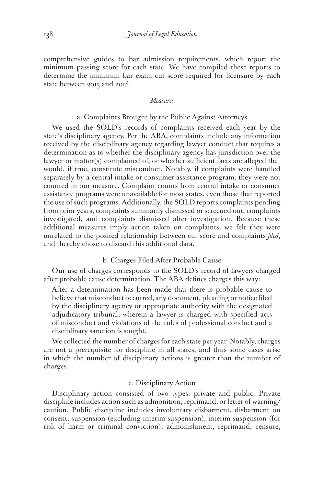comprehensive guides to bar admission requirements, which report the minimum passing score for each state. We have compiled these reports to determine the minimum bar exam cut score required for licensure by each state between 2013 and 2018.

# *Measures*

# a. Complaints Brought by the Public Against Attorneys

We used the SOLD's records of complaints received each year by the state's disciplinary agency. Per the ABA, complaints include any information received by the disciplinary agency regarding lawyer conduct that requires a determination as to whether the disciplinary agency has jurisdiction over the lawyer or matter(s) complained of, or whether sufficient facts are alleged that would, if true, constitute misconduct. Notably, if complaints were handled separately by a central intake or consumer assistance program, they were not counted in our measure. Complaint counts from central intake or consumer assistance programs were unavailable for most states, even those that reported the use of such programs. Additionally, the SOLD reports complaints pending from prior years, complaints summarily dismissed or screened out, complaints investigated, and complaints dismissed after investigation. Because these additional measures imply action taken on complaints, we felt they were unrelated to the posited relationship between cut score and complaints *filed*, and thereby chose to discard this additional data.

# b. Charges Filed After Probable Cause

Our use of charges corresponds to the SOLD's record of lawyers charged after probable cause determination. The ABA defines charges this way:

After a determination has been made that there is probable cause to believe that misconduct occurred, any document, pleading or notice filed by the disciplinary agency or appropriate authority with the designated adjudicatory tribunal, wherein a lawyer is charged with specified acts of misconduct and violations of the rules of professional conduct and a disciplinary sanction is sought.

We collected the number of charges for each state per year. Notably, charges are not a prerequisite for discipline in all states, and thus some cases arise in which the number of disciplinary actions is greater than the number of charges.

# c. Disciplinary Action

Disciplinary action consisted of two types: private and public. Private discipline includes action such as admonition, reprimand, or letter of warning/ caution. Public discipline includes involuntary disbarment, disbarment on consent, suspension (excluding interim suspension), interim suspension (for risk of harm or criminal conviction), admonishment, reprimand, censure,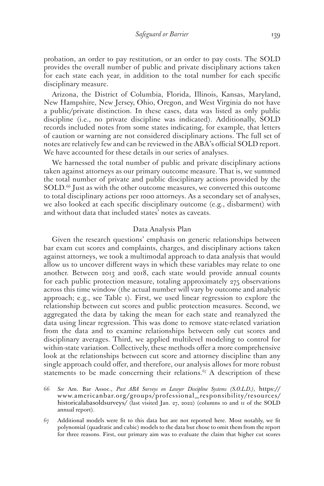probation, an order to pay restitution, or an order to pay costs. The SOLD provides the overall number of public and private disciplinary actions taken for each state each year, in addition to the total number for each specific disciplinary measure.

Arizona, the District of Columbia, Florida, Illinois, Kansas, Maryland, New Hampshire, New Jersey, Ohio, Oregon, and West Virginia do not have a public/private distinction. In these cases, data was listed as only public discipline (i.e., no private discipline was indicated). Additionally, SOLD records included notes from some states indicating, for example, that letters of caution or warning are not considered disciplinary actions. The full set of notes are relatively few and can be reviewed in the ABA's official SOLD report. We have accounted for these details in our series of analyses.

We harnessed the total number of public and private disciplinary actions taken against attorneys as our primary outcome measure. That is, we summed the total number of private and public disciplinary actions provided by the SOLD.66 Just as with the other outcome measures, we converted this outcome to total disciplinary actions per 1000 attorneys. As a secondary set of analyses, we also looked at each specific disciplinary outcome (e.g., disbarment) with and without data that included states' notes as caveats.

# Data Analysis Plan

Given the research questions' emphasis on generic relationships between bar exam cut scores and complaints, charges, and disciplinary actions taken against attorneys, we took a multimodal approach to data analysis that would allow us to uncover different ways in which these variables may relate to one another. Between 2013 and 2018, each state would provide annual counts for each public protection measure, totaling approximately 275 observations across this time window (the actual number will vary by outcome and analytic approach; e.g., see Table 1). First, we used linear regression to explore the relationship between cut scores and public protection measures. Second, we aggregated the data by taking the mean for each state and reanalyzed the data using linear regression. This was done to remove state-related variation from the data and to examine relationships between only cut scores and disciplinary averages. Third, we applied multilevel modeling to control for within-state variation. Collectively, these methods offer a more comprehensive look at the relationships between cut score and attorney discipline than any single approach could offer, and therefore, our analysis allows for more robust statements to be made concerning their relations.<sup> $67$ </sup> A description of these

66 *See* Am. Bar Assoc., *Past ABA Surveys on Lawyer Discipline Systems (S.O.L.D.)*, https:// www.americanbar.org/groups/professional\_responsibility/resources/ historicalabasoldsurveys/ (last visited Jan. 27, 2022) (columns 10 and 11 of the SOLD annual report).

67 Additional models were fit to this data but are not reported here. Most notably, we fit polynomial (quadratic and cubic) models to the data but chose to omit them from the report for three reasons. First, our primary aim was to evaluate the claim that higher cut scores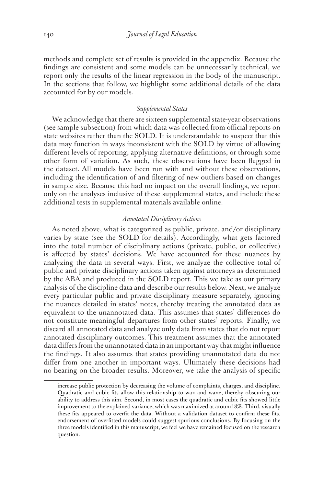methods and complete set of results is provided in the appendix. Because the findings are consistent and some models can be unnecessarily technical, we report only the results of the linear regression in the body of the manuscript. In the sections that follow, we highlight some additional details of the data accounted for by our models.

# *Supplemental States*

We acknowledge that there are sixteen supplemental state-year observations (see sample subsection) from which data was collected from official reports on state websites rather than the SOLD. It is understandable to suspect that this data may function in ways inconsistent with the SOLD by virtue of allowing different levels of reporting, applying alternative definitions, or through some other form of variation. As such, these observations have been flagged in the dataset. All models have been run with and without these observations, including the identification of and filtering of new outliers based on changes in sample size. Because this had no impact on the overall findings, we report only on the analyses inclusive of these supplemental states, and include these additional tests in supplemental materials available online.

# *Annotated Disciplinary Actions*

As noted above, what is categorized as public, private, and/or disciplinary varies by state (see the SOLD for details). Accordingly, what gets factored into the total number of disciplinary actions (private, public, or collective) is affected by states' decisions. We have accounted for these nuances by analyzing the data in several ways. First, we analyze the collective total of public and private disciplinary actions taken against attorneys as determined by the ABA and produced in the SOLD report. This we take as our primary analysis of the discipline data and describe our results below. Next, we analyze every particular public and private disciplinary measure separately, ignoring the nuances detailed in states' notes, thereby treating the annotated data as equivalent to the unannotated data. This assumes that states' differences do not constitute meaningful departures from other states' reports. Finally, we discard all annotated data and analyze only data from states that do not report annotated disciplinary outcomes. This treatment assumes that the annotated data differs from the unannotated data in an important way that might influence the findings. It also assumes that states providing unannotated data do not differ from one another in important ways. Ultimately these decisions had no bearing on the broader results. Moreover, we take the analysis of specific

increase public protection by decreasing the volume of complaints, charges, and discipline. Quadratic and cubic fits allow this relationship to wax and wane, thereby obscuring our ability to address this aim. Second, in most cases the quadratic and cubic fits showed little improvement to the explained variance, which was maximized at around 8%. Third, visually these fits appeared to overfit the data. Without a validation dataset to confirm these fits, endorsement of overfitted models could suggest spurious conclusions. By focusing on the three models identified in this manuscript, we feel we have remained focused on the research question.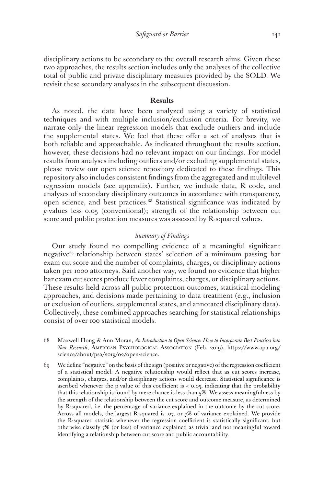disciplinary actions to be secondary to the overall research aims. Given these two approaches, the results section includes only the analyses of the collective total of public and private disciplinary measures provided by the SOLD. We revisit these secondary analyses in the subsequent discussion.

#### **Results**

As noted, the data have been analyzed using a variety of statistical techniques and with multiple inclusion/exclusion criteria. For brevity, we narrate only the linear regression models that exclude outliers and include the supplemental states. We feel that these offer a set of analyses that is both reliable and approachable. As indicated throughout the results section, however, these decisions had no relevant impact on our findings. For model results from analyses including outliers and/or excluding supplemental states, please review our open science repository dedicated to these findings. This repository also includes consistent findings from the aggregated and multilevel regression models (see appendix). Further, we include data, R code, and analyses of secondary disciplinary outcomes in accordance with transparency, open science, and best practices.68 Statistical significance was indicated by *p*-values less 0.05 (conventional); strength of the relationship between cut score and public protection measures was assessed by R-squared values.

# *Summary of Findings*

Our study found no compelling evidence of a meaningful significant negative69 relationship between states' selection of a minimum passing bar exam cut score and the number of complaints, charges, or disciplinary actions taken per 1000 attorneys. Said another way, we found no evidence that higher bar exam cut scores produce fewer complaints, charges, or disciplinary actions. These results held across all public protection outcomes, statistical modeling approaches, and decisions made pertaining to data treatment (e.g., inclusion or exclusion of outliers, supplemental states, and annotated disciplinary data). Collectively, these combined approaches searching for statistical relationships consist of over 100 statistical models.

- 68 Maxwell Hong & Ann Moran, *An Introduction to Open Science: How to Incorporate Best Practices into Your Research*, American Psychological Association (Feb. 2019), https://www.apa.org/ science/about/psa/2019/02/open-science.
- 69 We define "negative" on the basis of the sign (positive or negative) of the regression coefficient of a statistical model. A negative relationship would reflect that as cut scores increase, complaints, charges, and/or disciplinary actions would decrease. Statistical significance is ascribed whenever the p-value of this coefficient is < 0.05, indicating that the probability that this relationship is found by mere chance is less than 5%. We assess meaningfulness by the strength of the relationship between the cut score and outcome measure, as determined by R-squared, i.e. the percentage of variance explained in the outcome by the cut score. Across all models, the largest R-squared is .07, or 7% of variance explained. We provide the R-squared statistic whenever the regression coefficient is statistically significant, but otherwise classify 7% (or less) of variance explained as trivial and not meaningful toward identifying a relationship between cut score and public accountability.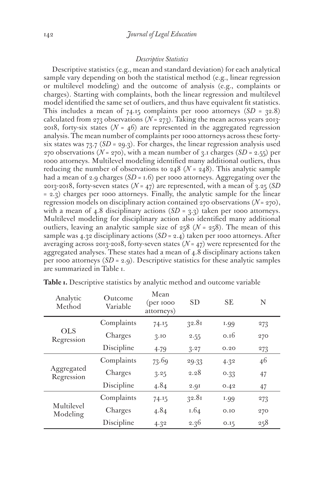# *Descriptive Statistics*

Descriptive statistics (e.g., mean and standard deviation) for each analytical sample vary depending on both the statistical method (e.g., linear regression or multilevel modeling) and the outcome of analysis (e.g., complaints or charges). Starting with complaints, both the linear regression and multilevel model identified the same set of outliers, and thus have equivalent fit statistics. This includes a mean of  $74.15$  complaints per 1000 attorneys  $(SD = 32.8)$ calculated from  $273$  observations ( $N = 273$ ). Taking the mean across years 2013-2018, forty-six states  $(N = 46)$  are represented in the aggregated regression analysis. The mean number of complaints per 1000 attorneys across these fortysix states was  $73.7$  (*SD* = 29.3). For charges, the linear regression analysis used 270 observations ( $N = 270$ ), with a mean number of 3.1 charges ( $SD = 2.55$ ) per 1000 attorneys. Multilevel modeling identified many additional outliers, thus reducing the number of observations to  $248$  ( $N = 248$ ). This analytic sample had a mean of 2.9 charges (*SD* = 1.6) per 1000 attorneys. Aggregating over the 2013-2018, forty-seven states (*N* = 47) are represented, with a mean of 3.25 (*SD* = 2.3) charges per 1000 attorneys. Finally, the analytic sample for the linear regression models on disciplinary action contained 270 observations (*N* = 270), with a mean of 4.8 disciplinary actions  $(SD = 3.3)$  taken per 1000 attorneys. Multilevel modeling for disciplinary action also identified many additional outliers, leaving an analytic sample size of  $258$  ( $N = 258$ ). The mean of this sample was 4.32 disciplinary actions (*SD* = 2.4) taken per 1000 attorneys. After averaging across 2013-2018, forty-seven states  $(N = 47)$  were represented for the aggregated analyses. These states had a mean of 4.8 disciplinary actions taken per 1000 attorneys  $(SD = 2.9)$ . Descriptive statistics for these analytic samples are summarized in Table 1.

| Analytic<br>Method       | Outcome<br>Variable | ivi ean<br>$(\text{per }1000)$<br>attorneys) | <b>SD</b> | <b>SE</b> | N   |
|--------------------------|---------------------|----------------------------------------------|-----------|-----------|-----|
|                          | Complaints          | 74.15                                        | 32.81     | 1.99      | 273 |
| <b>OLS</b><br>Regression | Charges             | 3.10                                         | 2.55      | 0.16      | 270 |
|                          | Discipline<br>4.79  | 3.27                                         | 0.20      | 273       |     |
|                          | Complaints          | 73.69                                        | 29.33     | 4.32      | 46  |
| Aggregated<br>Regression | Charges             | 3.25                                         | 2.28      | 0.33      | 47  |
|                          | Discipline          | 4.84                                         | 2.9I      | 0.42      | 47  |
|                          | Complaints          | 74.15                                        | 32.81     | 1.99      | 273 |
| Multilevel<br>Modeling   | Charges             | 4.84                                         | 1.64      | 0.10      | 270 |
|                          | Discipline          | 4.32                                         | 2.36      | 0.15      | 258 |

Table **1.** Descriptive statistics by analytic method and outcome variable Mean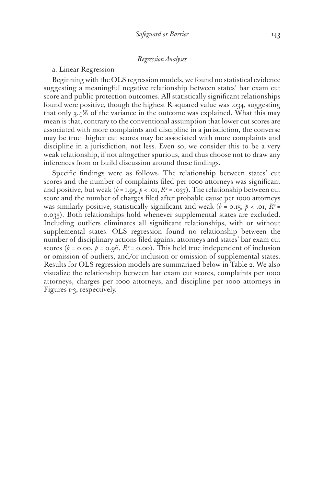# *Regression Analyses*

# a. Linear Regression

Beginning with the OLS regression models, we found no statistical evidence suggesting a meaningful negative relationship between states' bar exam cut score and public protection outcomes. All statistically significant relationships found were positive, though the highest R-squared value was .034, suggesting that only 3.4% of the variance in the outcome was explained. What this may mean is that, contrary to the conventional assumption that lower cut scores are associated with more complaints and discipline in a jurisdiction, the converse may be true—higher cut scores may be associated with more complaints and discipline in a jurisdiction, not less. Even so, we consider this to be a very weak relationship, if not altogether spurious, and thus choose not to draw any inferences from or build discussion around these findings.

Specific findings were as follows. The relationship between states' cut scores and the number of complaints filed per 1000 attorneys was significant and positive, but weak ( $b$  = 1.95,  $p$  < .01,  $R$ <sup>2</sup> = .037). The relationship between cut score and the number of charges filed after probable cause per 1000 attorneys was similarly positive, statistically significant and weak ( $b = 0.15$ ,  $p < .01$ ,  $R^2 =$ 0.035). Both relationships hold whenever supplemental states are excluded. Including outliers eliminates all significant relationships, with or without supplemental states. OLS regression found no relationship between the number of disciplinary actions filed against attorneys and states' bar exam cut scores ( $b = 0.00$ ,  $p = 0.96$ ,  $R^2 = 0.00$ ). This held true independent of inclusion or omission of outliers, and/or inclusion or omission of supplemental states. Results for OLS regression models are summarized below in Table 2. We also visualize the relationship between bar exam cut scores, complaints per 1000 attorneys, charges per 1000 attorneys, and discipline per 1000 attorneys in Figures 1-3, respectively.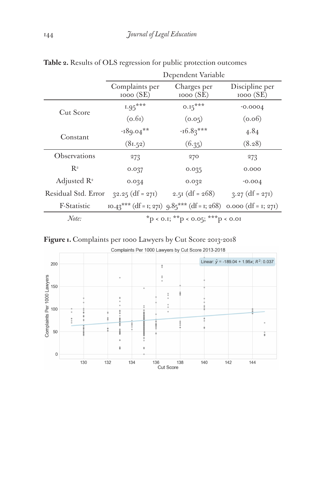|                         | Dependent Variable                            |                                                                      |                            |
|-------------------------|-----------------------------------------------|----------------------------------------------------------------------|----------------------------|
|                         | Complaints per<br>1000(SE)                    | Charges per<br>1000(SE)                                              | Discipline per<br>1000(SE) |
| Cut Score               | $1.95***$                                     | $0.15***$                                                            | $-0.0004$                  |
|                         | (0.6i)                                        | (0.05)                                                               | (0.06)                     |
| Constant                | $-189.04***$                                  | $-16.83***$                                                          | 4.84                       |
|                         | (81.52)                                       | (6.35)                                                               | (8.28)                     |
| Observations            | 273                                           | 270                                                                  | 273                        |
| $R^2$                   | 0.037                                         | 0.035                                                                | 0.000                      |
| Adjusted $\mathbb{R}^2$ | 0.034                                         | 0.032                                                                | $-0.004$                   |
| Residual Std. Error     | $32.25$ (df = 271)                            | 2.51 (df = $268$ )                                                   | $3.27$ (df = 271)          |
| F-Statistic             |                                               | $10.43***$ (df = 1; 271) $9.85***$ (df = 1; 268) 0.000 (df = 1; 271) |                            |
| Note:                   | $*_{p < 0.1;}$ $*_{p < 0.05;}$ $*_{p < 0.01}$ |                                                                      |                            |

**Table 2.** Results of OLS regression for public protection outcomes



Complaints Per 1000 Lawyers by Cut Score 2013-2018

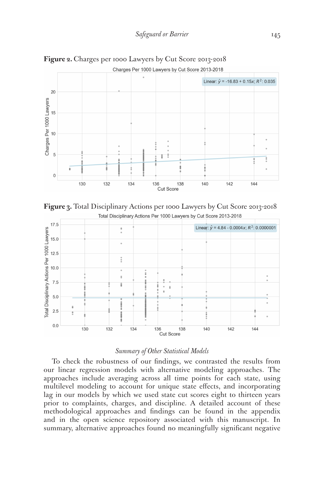

**Figure 2.** Charges per 1000 Lawyers by Cut Score 2013-2018





# *Summary of Other Statistical Models*

To check the robustness of our findings, we contrasted the results from our linear regression models with alternative modeling approaches. The approaches include averaging across all time points for each state, using multilevel modeling to account for unique state effects, and incorporating lag in our models by which we used state cut scores eight to thirteen years prior to complaints, charges, and discipline. A detailed account of these methodological approaches and findings can be found in the appendix and in the open science repository associated with this manuscript. In summary, alternative approaches found no meaningfully significant negative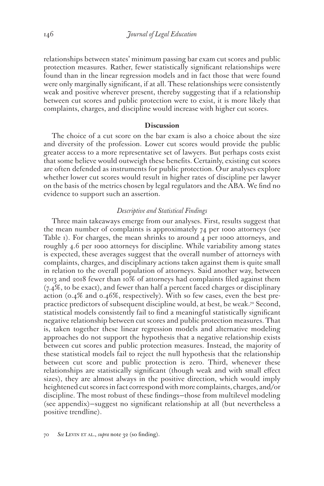relationships between states' minimum passing bar exam cut scores and public protection measures. Rather, fewer statistically significant relationships were found than in the linear regression models and in fact those that were found were only marginally significant, if at all. These relationships were consistently weak and positive wherever present, thereby suggesting that if a relationship between cut scores and public protection were to exist, it is more likely that complaints, charges, and discipline would increase with higher cut scores.

# **Discussion**

The choice of a cut score on the bar exam is also a choice about the size and diversity of the profession. Lower cut scores would provide the public greater access to a more representative set of lawyers. But perhaps costs exist that some believe would outweigh these benefits. Certainly, existing cut scores are often defended as instruments for public protection. Our analyses explore whether lower cut scores would result in higher rates of discipline per lawyer on the basis of the metrics chosen by legal regulators and the ABA. We find no evidence to support such an assertion.

# *Descriptive and Statistical Findings*

Three main takeaways emerge from our analyses. First, results suggest that the mean number of complaints is approximately 74 per 1000 attorneys (see Table 1). For charges, the mean shrinks to around 4 per 1000 attorneys, and roughly 4.6 per 1000 attorneys for discipline. While variability among states is expected, these averages suggest that the overall number of attorneys with complaints, charges, and disciplinary actions taken against them is quite small in relation to the overall population of attorneys. Said another way, between 2013 and 2018 fewer than 10% of attorneys had complaints filed against them (7.4%, to be exact), and fewer than half a percent faced charges or disciplinary action (0.4% and 0.46%, respectively). With so few cases, even the best prepractice predictors of subsequent discipline would, at best, be weak.<sup>70</sup> Second, statistical models consistently fail to find a meaningful statistically significant negative relationship between cut scores and public protection measures. That is, taken together these linear regression models and alternative modeling approaches do not support the hypothesis that a negative relationship exists between cut scores and public protection measures. Instead, the majority of these statistical models fail to reject the null hypothesis that the relationship between cut score and public protection is zero. Third, whenever these relationships are statistically significant (though weak and with small effect sizes), they are almost always in the positive direction, which would imply heightened cut scores in fact correspond with more complaints, charges, and/or discipline. The most robust of these findings—those from multilevel modeling (see appendix)—suggest no significant relationship at all (but nevertheless a positive trendline).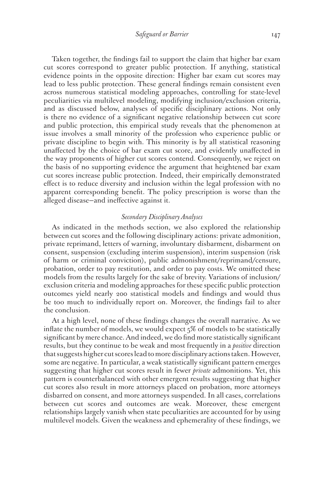Taken together, the findings fail to support the claim that higher bar exam cut scores correspond to greater public protection. If anything, statistical evidence points in the opposite direction: Higher bar exam cut scores may lead to less public protection. These general findings remain consistent even across numerous statistical modeling approaches, controlling for state-level peculiarities via multilevel modeling, modifying inclusion/exclusion criteria, and as discussed below, analyses of specific disciplinary actions. Not only is there no evidence of a significant negative relationship between cut score and public protection, this empirical study reveals that the phenomenon at issue involves a small minority of the profession who experience public or private discipline to begin with. This minority is by all statistical reasoning unaffected by the choice of bar exam cut score, and evidently unaffected in the way proponents of higher cut scores contend. Consequently, we reject on the basis of no supporting evidence the argument that heightened bar exam cut scores increase public protection. Indeed, their empirically demonstrated effect is to reduce diversity and inclusion within the legal profession with no apparent corresponding benefit. The policy prescription is worse than the alleged disease—and ineffective against it.

# *Secondary Disciplinary Analyses*

As indicated in the methods section, we also explored the relationship between cut scores and the following disciplinary actions: private admonition, private reprimand, letters of warning, involuntary disbarment, disbarment on consent, suspension (excluding interim suspension), interim suspension (risk of harm or criminal conviction), public admonishment/reprimand/censure, probation, order to pay restitution, and order to pay costs. We omitted these models from the results largely for the sake of brevity. Variations of inclusion/ exclusion criteria and modeling approaches for these specific public protection outcomes yield nearly 200 statistical models and findings and would thus be too much to individually report on. Moreover, the findings fail to alter the conclusion.

At a high level, none of these findings changes the overall narrative. As we inflate the number of models, we would expect 5% of models to be statistically significant by mere chance. And indeed, we do find more statistically significant results, but they continue to be weak and most frequently in a *positive* direction that suggests higher cut scores lead to more disciplinary actions taken. However, some are negative. In particular, a weak statistically significant pattern emerges suggesting that higher cut scores result in fewer *private* admonitions. Yet, this pattern is counterbalanced with other emergent results suggesting that higher cut scores also result in more attorneys placed on probation, more attorneys disbarred on consent, and more attorneys suspended. In all cases, correlations between cut scores and outcomes are weak. Moreover, these emergent relationships largely vanish when state peculiarities are accounted for by using multilevel models. Given the weakness and ephemerality of these findings, we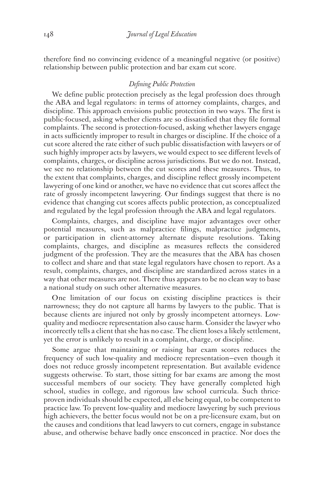therefore find no convincing evidence of a meaningful negative (or positive) relationship between public protection and bar exam cut score.

# *Defining Public Protection*

We define public protection precisely as the legal profession does through the ABA and legal regulators: in terms of attorney complaints, charges, and discipline. This approach envisions public protection in two ways. The first is public-focused, asking whether clients are so dissatisfied that they file formal complaints. The second is protection-focused, asking whether lawyers engage in acts sufficiently improper to result in charges or discipline. If the choice of a cut score altered the rate either of such public dissatisfaction with lawyers or of such highly improper acts by lawyers, we would expect to see different levels of complaints, charges, or discipline across jurisdictions. But we do not. Instead, we see no relationship between the cut scores and these measures. Thus, to the extent that complaints, charges, and discipline reflect grossly incompetent lawyering of one kind or another, we have no evidence that cut scores affect the rate of grossly incompetent lawyering. Our findings suggest that there is no evidence that changing cut scores affects public protection, as conceptualized and regulated by the legal profession through the ABA and legal regulators.

Complaints, charges, and discipline have major advantages over other potential measures, such as malpractice filings, malpractice judgments, or participation in client-attorney alternate dispute resolutions. Taking complaints, charges, and discipline as measures reflects the considered judgment of the profession. They are the measures that the ABA has chosen to collect and share and that state legal regulators have chosen to report. As a result, complaints, charges, and discipline are standardized across states in a way that other measures are not. There thus appears to be no clean way to base a national study on such other alternative measures.

One limitation of our focus on existing discipline practices is their narrowness; they do not capture all harms by lawyers to the public. That is because clients are injured not only by grossly incompetent attorneys. Lowquality and mediocre representation also cause harm. Consider the lawyer who incorrectly tells a client that she has no case. The client loses a likely settlement, yet the error is unlikely to result in a complaint, charge, or discipline.

Some argue that maintaining or raising bar exam scores reduces the frequency of such low-quality and mediocre representation—even though it does not reduce grossly incompetent representation. But available evidence suggests otherwise. To start, those sitting for bar exams are among the most successful members of our society. They have generally completed high school, studies in college, and rigorous law school curricula. Such thriceproven individuals should be expected, all else being equal, to be competent to practice law. To prevent low-quality and mediocre lawyering by such previous high achievers, the better focus would not be on a pre-licensure exam, but on the causes and conditions that lead lawyers to cut corners, engage in substance abuse, and otherwise behave badly once ensconced in practice. Nor does the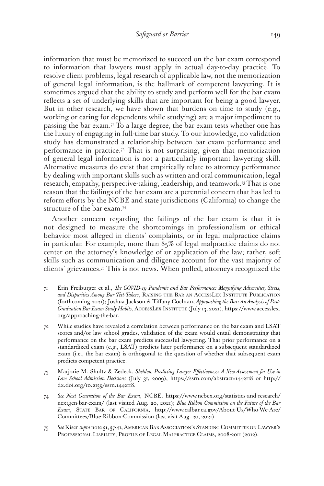information that must be memorized to succeed on the bar exam correspond to information that lawyers must apply in actual day-to-day practice. To resolve client problems, legal research of applicable law, not the memorization of general legal information, is the hallmark of competent lawyering. It is sometimes argued that the ability to study and perform well for the bar exam reflects a set of underlying skills that are important for being a good lawyer. But in other research, we have shown that burdens on time to study (e.g., working or caring for dependents while studying) are a major impediment to passing the bar exam.71 To a large degree, the bar exam tests whether one has the luxury of engaging in full-time bar study. To our knowledge, no validation study has demonstrated a relationship between bar exam performance and performance in practice.<sup>72</sup> That is not surprising, given that memorization of general legal information is not a particularly important lawyering skill. Alternative measures do exist that empirically relate to attorney performance by dealing with important skills such as written and oral communication, legal research, empathy, perspective-taking, leadership, and teamwork.73 That is one reason that the failings of the bar exam are a perennial concern that has led to reform efforts by the NCBE and state jurisdictions (California) to change the structure of the bar exam.74

Another concern regarding the failings of the bar exam is that it is not designed to measure the shortcomings in professionalism or ethical behavior most alleged in clients' complaints, or in legal malpractice claims in particular. For example, more than  $85\%$  of legal malpractice claims do not center on the attorney's knowledge of or application of the law; rather, soft skills such as communication and diligence account for the vast majority of clients' grievances.75 This is not news. When polled, attorneys recognized the

- 71 Erin Freiburger et al., *The COVID-19 Pandemic and Bar Performance: Magnifying Adversities, Stress, and Disparities Among Bar Test-Takers*, Raising the Bar an AccessLex Institute Publication (forthcoming 2021); Joshua Jackson & Tiffany Cochran, *Approaching the Bar: An Analysis of Post-Graduation Bar Exam Study Habits*, AccessLex Institute (July 13, 2021), https://www.accesslex. org/approaching-the-bar.
- 72 While studies have revealed a correlation between performance on the bar exam and LSAT scores and/or law school grades, validation of the exam would entail demonstrating that performance on the bar exam predicts successful lawyering. That prior performance on a standardized exam (e.g., LSAT) predicts later performance on a subsequent standardized exam (i.e., the bar exam) is orthogonal to the question of whether that subsequent exam predicts competent practice.
- 73 Marjorie M. Shultz & Zedeck, *Sheldon, Predicting Lawyer Effectiveness: A New Assessment for Use in Law School Admission Decisions* (July 31, 2009), https://ssrn.com/abstract=1442118 or http:// dx.doi.org/10.2139/ssrn.1442118.
- 74 *See Next Generation of the Bar Exam*, NCBE, https://www.ncbex.org/statistics-and-research/ nextgen-bar-exam/ (last visited Aug. 20, 2021); *Blue Ribbon Commission on the Future of the Bar Exam*, State Bar of California, http://www.calbar.ca.gov/About-Us/Who-We-Are/ Committees/Blue-Ribbon-Commission (last visit Aug. 20, 2021).
- 75 *See* Kiser *supra* note 31, 37-41; American Bar Association's Standing Committee on Lawyer's PROFESSIONAL LIABILITY, PROFILE OF LEGAL MALPRACTICE CLAIMS, 2008-2011 (2012).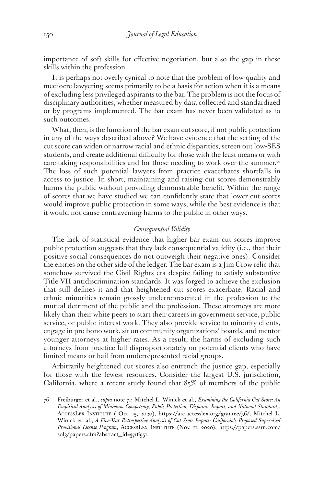importance of soft skills for effective negotiation, but also the gap in these skills within the profession.

It is perhaps not overly cynical to note that the problem of low-quality and mediocre lawyering seems primarily to be a basis for action when it is a means of excluding less privileged aspirants to the bar. The problem is not the focus of disciplinary authorities, whether measured by data collected and standardized or by programs implemented. The bar exam has never been validated as to such outcomes.

What, then, is the function of the bar exam cut score, if not public protection in any of the ways described above? We have evidence that the setting of the cut score can widen or narrow racial and ethnic disparities, screen out low-SES students, and create additional difficulty for those with the least means or with care-taking responsibilities and for those needing to work over the summer.<sup>76</sup> The loss of such potential lawyers from practice exacerbates shortfalls in access to justice. In short, maintaining and raising cut scores demonstrably harms the public without providing demonstrable benefit. Within the range of scores that we have studied we can confidently state that lower cut scores would improve public protection in some ways, while the best evidence is that it would not cause contravening harms to the public in other ways.

# *Consequential Validity*

The lack of statistical evidence that higher bar exam cut scores improve public protection suggests that they lack consequential validity (i.e., that their positive social consequences do not outweigh their negative ones). Consider the entries on the other side of the ledger. The bar exam is a Jim Crow relic that somehow survived the Civil Rights era despite failing to satisfy substantive Title VII antidiscrimination standards. It was forged to achieve the exclusion that still defines it and that heightened cut scores exacerbate. Racial and ethnic minorities remain grossly underrepresented in the profession to the mutual detriment of the public and the profession. These attorneys are more likely than their white peers to start their careers in government service, public service, or public interest work. They also provide service to minority clients, engage in pro bono work, sit on community organizations' boards, and mentor younger attorneys at higher rates. As a result, the harms of excluding such attorneys from practice fall disproportionately on potential clients who have limited means or hail from underrepresented racial groups.

Arbitrarily heightened cut scores also entrench the justice gap, especially for those with the fewest resources. Consider the largest U.S. jurisdiction, California, where a recent study found that 85% of members of the public

<sup>76</sup> Freiburger et al., *supra* note 71; Mitchel L. Winick et al., *Examining the California Cut Score: An Empirical Analysis of Minimum Competency, Public Protection, Disparate Impact, and National Standards*, AccessLex Institute ( Oct. 15, 2020), https://arc.accesslex.org/grantee/56/; Mitchel L. Winick et. al., *A Five-Year Retrospective Analysis of Cut Score Impact: California's Proposed Supervised Provisional License Program*, AccessLex Institute (Nov. 11, 2020), https://papers.ssrn.com/ sol3/papers.cfm?abstract\_id=3716951.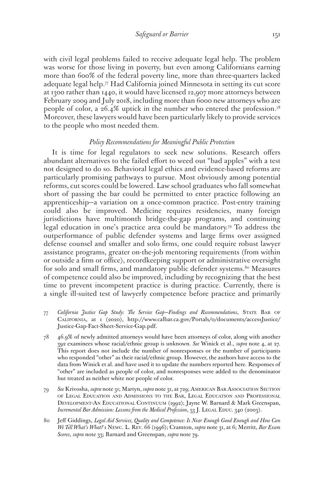with civil legal problems failed to receive adequate legal help. The problem was worse for those living in poverty, but even among Californians earning more than 600% of the federal poverty line, more than three-quarters lacked adequate legal help.77 Had California joined Minnesota in setting its cut score at 1300 rather than 1440, it would have licensed 12,907 more attorneys between February 2009 and July 2018, including more than 6000 new attorneys who are people of color, a 26.4% uptick in the number who entered the profession.78 Moreover, these lawyers would have been particularly likely to provide services to the people who most needed them.

# *Policy Recommendations for Meaningful Public Protection*

It is time for legal regulators to seek new solutions. Research offers abundant alternatives to the failed effort to weed out "bad apples" with a test not designed to do so. Behavioral legal ethics and evidence-based reforms are particularly promising pathways to pursue. Most obviously among potential reforms, cut scores could be lowered. Law school graduates who fall somewhat short of passing the bar could be permitted to enter practice following an apprenticeship—a variation on a once-common practice. Post-entry training could also be improved. Medicine requires residencies, many foreign jurisdictions have multimonth bridge-the-gap programs, and continuing legal education in one's practice area could be mandatory.79 To address the outperformance of public defender systems and large firms over assigned defense counsel and smaller and solo firms, one could require robust lawyer assistance programs, greater on-the-job mentoring requirements (from within or outside a firm or office), recordkeeping support or administrative oversight for solo and small firms, and mandatory public defender systems.<sup>80</sup> Measures of competence could also be improved, including by recognizing that the best time to prevent incompetent practice is during practice. Currently, there is a single ill-suited test of lawyerly competence before practice and primarily

- 77 *California Justice Gap Study: The Service Gap—Findings and Recommendations*, State Bar of California, at 1 (2020), http://www.calbar.ca.gov/Portals/0/documents/accessJustice/ Justice-Gap-Fact-Sheet-Service-Gap.pdf.
- 78 46.9% of newly admitted attorneys would have been attorneys of color, along with another 392 examinees whose racial/ethnic group is unknown. *See* Winick et al., *supra* note 4, at 27. This report does not include the number of nonresponses or the number of participants who responded "other" as their racial/ethnic group. However, the authors have access to the data from Winick et al. and have used it to update the numbers reported here. Responses of "other" are included as people of color, and nonresponses were added to the denominator but treated as neither white nor people of color.
- 79 *See* Krivosha, *supra* note 31; Martyn, *supra* note 31, at 729; American Bar Association Section of Legal Education and Admissions to the Bar, Legal Education and Professional Development-An Educational Continuum (1992); Jayne W. Barnard & Mark Greenspan, *Incremental Bar Admission: Lessons from the Medical Profession*, 53 J. LEGAL EDUC. 340 (2003).
- 80 Jeff Giddings, *Legal Aid Services, Quality and Competence: Is Near Enough Good Enough and How Can We Tell What's What?* 1 Newc. L. Rev. 66 (1996); Cramton, *supra* note 31, at 6; Merritt, *Bar Exam Scores*, *supra* note 33; Barnard and Greenspan, *supra* note 79.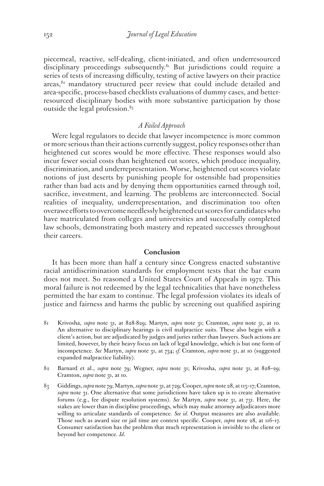piecemeal, reactive, self-dealing, client-initiated, and often underresourced disciplinary proceedings subsequently.<sup>81</sup> But jurisdictions could require a series of tests of increasing difficulty, testing of active lawyers on their practice areas,<sup>82</sup> mandatory structured peer review that could include detailed and area-specific, process-based checklists evaluations of dummy cases, and betterresourced disciplinary bodies with more substantive participation by those outside the legal profession.<sup>83</sup>

# *A Failed Approach*

Were legal regulators to decide that lawyer incompetence is more common or more serious than their actions currently suggest, policy responses other than heightened cut scores would be more effective. These responses would also incur fewer social costs than heightened cut scores, which produce inequality, discrimination, and underrepresentation. Worse, heightened cut scores violate notions of just deserts by punishing people for ostensible bad propensities rather than bad acts and by denying them opportunities earned through toil, sacrifice, investment, and learning. The problems are interconnected. Social realities of inequality, underrepresentation, and discrimination too often overawe efforts to overcome needlessly heightened cut scores for candidates who have matriculated from colleges and universities and successfully completed law schools, demonstrating both mastery and repeated successes throughout their careers.

#### **Conclusion**

It has been more than half a century since Congress enacted substantive racial antidiscrimination standards for employment tests that the bar exam does not meet. So reasoned a United States Court of Appeals in 1972. This moral failure is not redeemed by the legal technicalities that have nonetheless permitted the bar exam to continue. The legal profession violates its ideals of justice and fairness and harms the public by screening out qualified aspiring

- 81 Krivosha, *supra* note 31, at 828-829; Martyn, *supra* note 31; Cramton, *supra* note 31, at 10. An alternative to disciplinary hearings is civil malpractice suits. These also begin with a client's action, but are adjudicated by judges and juries rather than lawyers. Such actions are limited, however, by their heavy focus on lack of legal knowledge, which is but one form of incompetence. *See* Martyn, *supra* note 31, at 734; *cf.* Cramton, *supra* note 31, at 10 (suggested expanded malpractice liability).
- 82 Barnard et al., *supra* note 79; Wegner, *supra* note 31; Krivosha, *supra* note 31, at 828–29; Cramton, *supra* note 31, at 10.
- 83 Giddings, *supra* note 79; Martyn, *supra* note 31, at 729; Cooper, *supra* note 28, at 115–17; Cramton, *supra* note 31. One alternative that some jurisdictions have taken up is to create alternative forums (e.g., fee dispute resolution systems). *See* Martyn, *supra* note 31, at 731. Here, the stakes are lower than in discipline proceedings, which may make attorney adjudicators more willing to articulate standards of competence. *See id*. Output measures are also available. Those such as award size or jail time are context specific. Cooper, *supra* note 28, at 116–17. Consumer satisfaction has the problem that much representation is invisible to the client or beyond her competence. *Id*.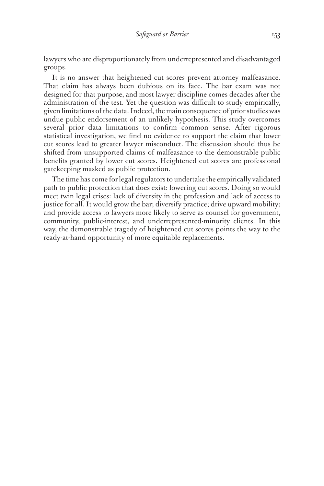lawyers who are disproportionately from underrepresented and disadvantaged groups.

It is no answer that heightened cut scores prevent attorney malfeasance. That claim has always been dubious on its face. The bar exam was not designed for that purpose, and most lawyer discipline comes decades after the administration of the test. Yet the question was difficult to study empirically, given limitations of the data. Indeed, the main consequence of prior studies was undue public endorsement of an unlikely hypothesis. This study overcomes several prior data limitations to confirm common sense. After rigorous statistical investigation, we find no evidence to support the claim that lower cut scores lead to greater lawyer misconduct. The discussion should thus be shifted from unsupported claims of malfeasance to the demonstrable public benefits granted by lower cut scores. Heightened cut scores are professional gatekeeping masked as public protection.

The time has come for legal regulators to undertake the empirically validated path to public protection that does exist: lowering cut scores. Doing so would meet twin legal crises: lack of diversity in the profession and lack of access to justice for all. It would grow the bar; diversify practice; drive upward mobility; and provide access to lawyers more likely to serve as counsel for government, community, public-interest, and underrepresented-minority clients. In this way, the demonstrable tragedy of heightened cut scores points the way to the ready-at-hand opportunity of more equitable replacements.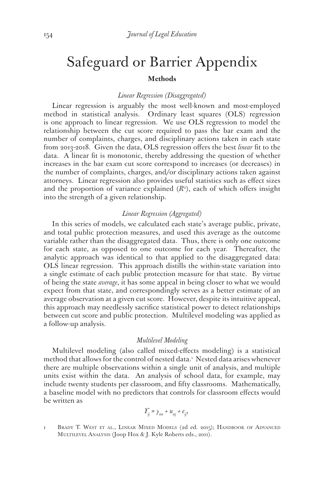# Safeguard or Barrier Appendix **Methods**

#### *Linear Regression (Disaggregated)*

Linear regression is arguably the most well-known and most-employed method in statistical analysis. Ordinary least squares (OLS) regression is one approach to linear regression. We use OLS regression to model the relationship between the cut score required to pass the bar exam and the number of complaints, charges, and disciplinary actions taken in each state from 2013-2018. Given the data, OLS regression offers the best *linear* fit to the data. A linear fit is monotonic, thereby addressing the question of whether increases in the bar exam cut score correspond to increases (or decreases) in the number of complaints, charges, and/or disciplinary actions taken against attorneys. Linear regression also provides useful statistics such as effect sizes and the proportion of variance explained  $(R^2)$ , each of which offers insight into the strength of a given relationship.

# *Linear Regression (Aggregated)*

In this series of models, we calculated each state's average public, private, and total public protection measures, and used this average as the outcome variable rather than the disaggregated data. Thus, there is only one outcome for each state, as opposed to one outcome for each year. Thereafter, the analytic approach was identical to that applied to the disaggregated data: OLS linear regression. This approach distills the within-state variation into a single estimate of each public protection measure for that state. By virtue of being the state *average*, it has some appeal in being closer to what we would expect from that state, and correspondingly serves as a better estimate of an average observation at a given cut score. However, despite its intuitive appeal, this approach may needlessly sacrifice statistical power to detect relationships between cut score and public protection. Multilevel modeling was applied as a follow-up analysis.

#### *Multilevel Modeling*

Multilevel modeling (also called mixed-effects modeling) is a statistical method that allows for the control of nested data.1 Nested data arises whenever there are multiple observations within a single unit of analysis, and multiple units exist within the data. An analysis of school data, for example, may include twenty students per classroom, and fifty classrooms. Mathematically, a baseline model with no predictors that controls for classroom effects would be written as

$$
\varUpsilon_{ij} = \gamma_{oo} + u_{oj} + e_{ij},
$$

1 Brady T. West et al., Linear Mixed Models (2d ed. 2015); Handbook of Advanced Multilevel Analysis (Joop Hox & J. Kyle Roberts eds., 2011).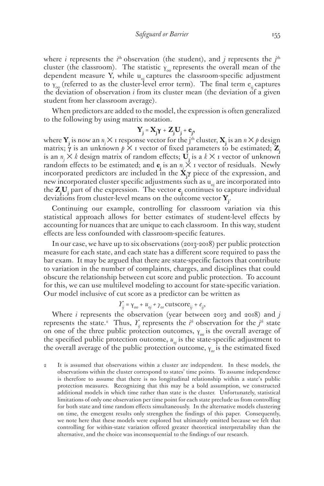where *i* represents the *i*<sup>th</sup> observation (the student), and *j* represents the *j*<sup>th</sup> cluster (the classroom). The statistic  $\gamma_{00}$  represents the overall mean of the dependent measure Y, while  $u_{0i}$  captures the classroom-specific adjustment to  $Y_{00}$  (referred to as the cluster-level error term). The final term e<sub>ij</sub> captures the deviation of observation *i* from its cluster mean (the deviation of a given student from her classroom average).

When predictors are added to the model, the expression is often generalized to the following by using matrix notation.

$$
Y_j = X_j \gamma + Z_j U_j + e_j,
$$

where  $\mathbf{Y}_j$  is now an  $n_j \times 1$  response vector for the j<sup>th</sup> cluster,  $\mathbf{X}_j$  is an  $n \times p$  design matrix;  $\gamma$  is an unknown  $p \times 1$  vector of fixed parameters to be estimated;  $\mathbb{Z}$ is an  $n \times k$  design matrix of random effects;  $\overline{U}_i$  is a  $k \times I$  vector of unknown random effects to be estimated; and  $\mathbf{e}_j$  is an  $n_j \times I$  vector of residuals. Newly incorporated predictors are included in the **Xj γ** piece of the expression, and new incorporated cluster specific adjustments such as  $u_{0i}$  are incorporated into the **Zj Uj** part of the expression. The vector **ej** continues to capture individual deviations from cluster-level means on the outcome vector **Yj** .

Continuing our example, controlling for classroom variation via this statistical approach allows for better estimates of student-level effects by accounting for nuances that are unique to each classroom. In this way, student effects are less confounded with classroom-specific features.

In our case, we have up to six observations (2013-2018) per public protection measure for each state, and each state has a different score required to pass the bar exam. It may be argued that there are state-specific factors that contribute to variation in the number of complaints, charges, and disciplines that could obscure the relationship between cut score and public protection. To account for this, we can use multilevel modeling to account for state-specific variation. Our model inclusive of cut score as a predictor can be written as

$$
\gamma_{ij} = \gamma_{oo} + u_{oj} + \gamma_{or} \text{cutscore}_{ij} + e_{ij},
$$

Where *i* represents the observation (year between 2013 and 2018) and *j* represents the state.<sup>2</sup> Thus,  $Y_{ij}$  represents the *i*<sup>th</sup> observation for the *j*<sup>th</sup> state on one of the three public protection outcomes, γ<sub>00</sub> is the overall average of the specified public protection outcome,  $u_{oj}$  is the state-specific adjustment to the overall average of the public protection outcome, γ<sub>οι</sub> is the estimated fixed

2 It is assumed that observations within a cluster are independent. In these models, the observations within the cluster correspond to states' time points. To assume independence is therefore to assume that there is no longitudinal relationship within a state's public protection measures. Recognizing that this may be a bold assumption, we constructed additional models in which time rather than state is the cluster. Unfortunately, statistical limitations of only one observation per time point for each state preclude us from controlling for both state and time random effects simultaneously. In the alternative models clustering on time, the emergent results only strengthen the findings of this paper. Consequently, we note here that these models were explored but ultimately omitted because we felt that controlling for within-state variation offered greater theoretical interpretability than the alternative, and the choice was inconsequential to the findings of our research.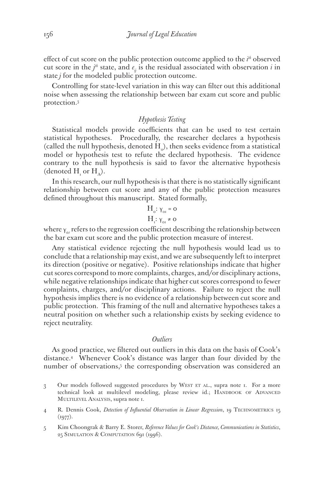effect of cut score on the public protection outcome applied to the *i*<sup>th</sup> observed cut score in the  $j^{\text{th}}$  state, and  $e_j$  is the residual associated with observation *i* in state *j* for the modeled public protection outcome.

Controlling for state-level variation in this way can filter out this additional noise when assessing the relationship between bar exam cut score and public protection.3

# *Hypothesis Testing*

Statistical models provide coefficients that can be used to test certain statistical hypotheses. Procedurally, the researcher declares a hypothesis (called the null hypothesis, denoted  $H_o$ ), then seeks evidence from a statistical model or hypothesis test to refute the declared hypothesis. The evidence contrary to the null hypothesis is said to favor the alternative hypothesis (denoted  $H_{\text{I}}$  or  $H_{\text{A}}$ ).

In this research, our null hypothesis is that there is no statistically significant relationship between cut score and any of the public protection measures defined throughout this manuscript. Stated formally,

$$
H_o: \gamma_{or} = o
$$
  

$$
H_i: \gamma_{or} \neq o
$$

where γ<sub>*ot*</sub> refers to the regression coefficient describing the relationship between the bar exam cut score and the public protection measure of interest.

Any statistical evidence rejecting the null hypothesis would lead us to conclude that a relationship may exist, and we are subsequently left to interpret its direction (positive or negative). Positive relationships indicate that higher cut scores correspond to more complaints, charges, and/or disciplinary actions, while negative relationships indicate that higher cut scores correspond to fewer complaints, charges, and/or disciplinary actions. Failure to reject the null hypothesis implies there is no evidence of a relationship between cut score and public protection. This framing of the null and alternative hypotheses takes a neutral position on whether such a relationship exists by seeking evidence to reject neutrality.

#### *Outliers*

As good practice, we filtered out outliers in this data on the basis of Cook's distance.4 Whenever Cook's distance was larger than four divided by the number of observations,<sup>5</sup> the corresponding observation was considered an

- 3 Our models followed suggested procedures by WEST ET AL., supra note 1. For a more technical look at multilevel modeling, please review id.; HANDBOOK OF ADVANCED MULTILEVEL ANALYSIS, supra note 1.
- 4 R. Dennis Cook, *Detection of Influential Observation in Linear Regression*, 19 TECHNOMETRICS 15  $(1977).$
- 5 Kim Choongrak & Barry E. Storer, *Reference Values for Cook's Distance, Communications in Statistics*, 25 Simulation & Computation 691 (1996).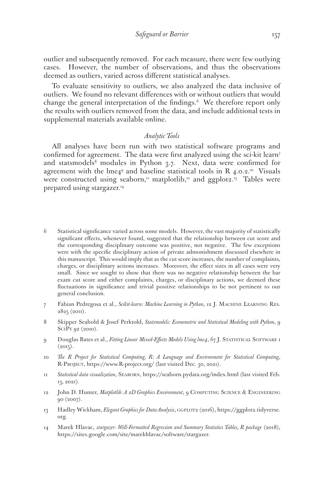outlier and subsequently removed. For each measure, there were few outlying cases. However, the number of observations, and thus the observations deemed as outliers, varied across different statistical analyses.

To evaluate sensitivity to outliers, we also analyzed the data inclusive of outliers. We found no relevant differences with or without outliers that would change the general interpretation of the findings.<sup>6</sup> We therefore report only the results with outliers removed from the data, and include additional tests in supplemental materials available online.

# *Analytic Tools*

All analyses have been run with two statistical software programs and confirmed for agreement. The data were first analyzed using the sci-kit learn7 and statsmodels<sup>8</sup> modules in Python  $3.7$ . Next, data were confirmed for agreement with the  $\text{Im}e_4^{\text{9}}$  and baseline statistical tools in R 4.0.2.<sup>10</sup> Visuals were constructed using seaborn,<sup> $\pi$ </sup> matplotlib,<sup>12</sup> and ggplot2.<sup>13</sup> Tables were prepared using stargazer.14

- 6 Statistical significance varied across some models. However, the vast majority of statistically significant effects, whenever found, suggested that the relationship between cut score and the corresponding disciplinary outcome was positive, not negative. The few exceptions were with the specific disciplinary action of private admonishment discussed elsewhere in this manuscript. This would imply that as the cut score increases, the number of complaints, charges, or disciplinary actions increases. Moreover, the effect sizes in all cases were very small. Since we sought to show that there was no negative relationship between the bar exam cut score and either complaints, charges, or disciplinary actions, we deemed these fluctuations in significance and trivial positive relationships to be not pertinent to our general conclusion.
- 7 Fabian Pedregosa et al., *Scikit-learn: Machine Learning in Python*, 12 J. Machine Learning Res. 2825 (2011).
- 8 Skipper Seabold & Josef Perktold, *Statsmodels: Econometric and Statistical Modeling with Python*, 9 SciPy 92 (2010).
- 9 Douglas Bates et al., *Fitting Linear Mixed-Effects Models Using lme4*, 67 J. STATISTICAL SOFTWARE 1  $(2015).$
- 10 *The R Project for Statistical Computing, R: A Language and Environment for Statistical Computing*, R-Project, https://www.R-project.org/ (last visited Dec. 30, 2021).
- 11 *Statistical data visualization*, Seaborn, https://seaborn.pydata.org/index.html (last visited Feb. 13, 2021).
- 12 John D. Hunter, *Matplotlib: A 2D Graphics Environment*, 9 Computing Science & Engineering 90 (2007).
- 13 Hadley Wickham, *Elegant Graphics for Data Analysis*, GGPLOT2 (2016), https://ggplot2.tidyverse. org.
- 14 Marek Hlavac, *stargazer: Well-Formatted Regression and Summary Statistics Tables, R package* (2018), https://sites.google.com/site/marekhlavac/software/stargazer.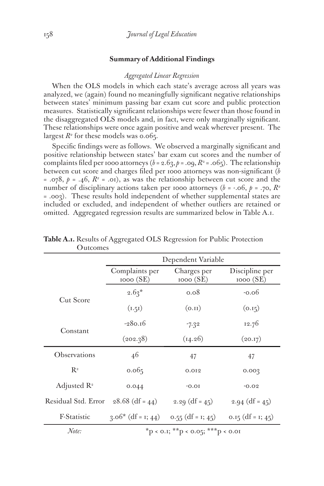# **Summary of Additional Findings**

#### *Aggregated Linear Regression*

When the OLS models in which each state's average across all years was analyzed, we (again) found no meaningfully significant negative relationships between states' minimum passing bar exam cut score and public protection measures. Statistically significant relationships were fewer than those found in the disaggregated OLS models and, in fact, were only marginally significant. These relationships were once again positive and weak wherever present. The largest  $R^2$  for these models was 0.065.

Specific findings were as follows. We observed a marginally significant and positive relationship between states' bar exam cut scores and the number of complaints filed per 1000 attorneys ( $b = 2.63$ ,  $p = .09$ ,  $R^2 = .065$ ). The relationship between cut score and charges filed per 1000 attorneys was non-significant (*b*  $= .078$ ,  $p = .46$ ,  $R^2 = .01$ , as was the relationship between cut score and the number of disciplinary actions taken per 1000 attorneys ( $b = -.6$ ,  $p = .70$ ,  $R^2$ = .003). These results hold independent of whether supplemental states are included or excluded, and independent of whether outliers are retained or omitted. Aggregated regression results are summarized below in Table A.1.

|                                       | Dependent Variable                |                         |                            |
|---------------------------------------|-----------------------------------|-------------------------|----------------------------|
|                                       | Complaints per<br>1000(SE)        | Charges per<br>1000(SE) | Discipline per<br>1000(SE) |
| Cut Score                             | $2.63*$                           | 0.08                    | $-0.06$                    |
|                                       | (1.51)                            | (0.II)                  | (0.15)                     |
| Constant                              | $-280.16$                         | $-7.32$                 | 12.76                      |
|                                       | (202.38)                          | (14.26)                 | (20.17)                    |
| Observations                          | 46                                | 47                      | 47                         |
| $R^2$                                 | 0.065                             | 0.012                   | 0.003                      |
| Adjusted $\mathbb{R}^2$               | 0.044                             | $-0.01$                 | $-0.02$                    |
| Residual Std. Error $28.68$ (df = 44) |                                   | 2.29 $(df = 45)$        | $2.94$ (df = 45)           |
| F-Statistic                           | $3.06*$ (df = 1; 44)              | 0.55 (df = 1; 45)       | 0.15 (df = 1; 45)          |
| Note:                                 | *p < 0.1; **p < 0.05; ***p < 0.01 |                         |                            |

**Table A.1.** Results of Aggregated OLS Regression for Public Protection **Outcomes**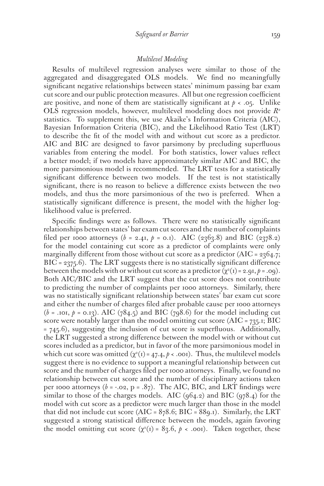#### *Multilevel Modeling*

Results of multilevel regression analyses were similar to those of the aggregated and disaggregated OLS models. We find no meaningfully significant negative relationships between states' minimum passing bar exam cut score and our public protection measures. All but one regression coefficient are positive, and none of them are statistically significant at  $p < 0.05$ . Unlike OLS regression models, however, multilevel modeling does not provide *R2* statistics. To supplement this, we use Akaike's Information Criteria (AIC), Bayesian Information Criteria (BIC), and the Likelihood Ratio Test (LRT) to describe the fit of the model with and without cut score as a predictor. AIC and BIC are designed to favor parsimony by precluding superfluous variables from entering the model. For both statistics, lower values reflect a better model; if two models have approximately similar AIC and BIC, the more parsimonious model is recommended. The LRT tests for a statistically significant difference between two models. If the test is not statistically significant, there is no reason to believe a difference exists between the two models, and thus the more parsimonious of the two is preferred. When a statistically significant difference is present, the model with the higher loglikelihood value is preferred.

Specific findings were as follows. There were no statistically significant relationships between states' bar exam cut scores and the number of complaints filed per 1000 attorneys ( $b = 2.41$ ,  $p = 0.1$ ). AIC (2363.8) and BIC (2378.2) for the model containing cut score as a predictor of complaints were only marginally different from those without cut score as a predictor (AIC =  $2364.7$ ;  $BIC = 2375.6$ ). The LRT suggests there is no statistically significant difference between the models with or without cut score as a predictor  $(\chi^2(i) = 2.9i, \rho = .09)$ . Both AIC/BIC and the LRT suggest that the cut score does not contribute to predicting the number of complaints per 1000 attorneys. Similarly, there was no statistically significant relationship between states' bar exam cut score and either the number of charges filed after probable cause per 1000 attorneys  $(b = .101, p = 0.13)$ . AIC (784.5) and BIC (798.6) for the model including cut score were notably larger than the model omitting cut score (AIC =  $735.1$ ; BIC = 745.6), suggesting the inclusion of cut score is superfluous. Additionally, the LRT suggested a strong difference between the model with or without cut scores included as a predictor, but in favor of the more parsimonious model in which cut score was omitted  $(\chi^2(I)) = 47.4, \rho < .001)$ . Thus, the multilevel models suggest there is no evidence to support a meaningful relationship between cut score and the number of charges filed per 1000 attorneys. Finally, we found no relationship between cut score and the number of disciplinary actions taken per 1000 attorneys  $(b = -.02, p = .87)$ . The AIC, BIC, and LRT findings were similar to those of the charges models. AIC  $(964.2)$  and BIC  $(978.4)$  for the model with cut score as a predictor were much larger than those in the model that did not include cut score (AIC =  $878.6$ ; BIC =  $889.1$ ). Similarly, the LRT suggested a strong statistical difference between the models, again favoring the model omitting cut score  $(\chi^2(i)) = 83.6$ ,  $p < .001$ ). Taken together, these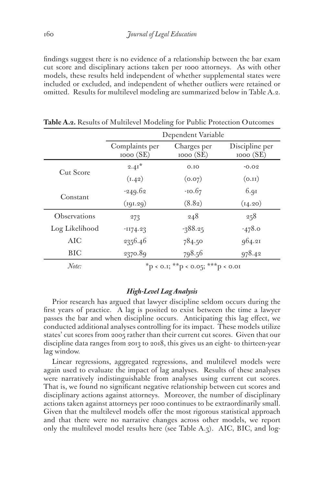findings suggest there is no evidence of a relationship between the bar exam cut score and disciplinary actions taken per 1000 attorneys. As with other models, these results held independent of whether supplemental states were included or excluded, and independent of whether outliers were retained or omitted. Results for multilevel modeling are summarized below in Table A.2.

|                | Dependent Variable         |                          |                            |
|----------------|----------------------------|--------------------------|----------------------------|
|                | Complaints per<br>1000(SE) | Charges per<br>1000 (SE) | Discipline per<br>1000(SE) |
| Cut Score      | $2.41*$                    | 0.10                     | $-0.02$                    |
|                | (1.42)                     | (0.07)                   | (0.11)                     |
| Constant       | $-249.62$                  | $-10.67$                 | 6.9I                       |
|                | (191.29)                   | (8.82)                   | (14.20)                    |
| Observations   | 273                        | 248                      | 258                        |
| Log Likelihood | $-1174.23$                 | $-388.25$                | $-478.0$                   |
| AIC            | 2356.46                    | 784.50                   | 964.21                     |
| <b>BIC</b>     | 2370.89                    | 798.56                   | 978.42                     |
|                |                            |                          |                            |

**Table A.2.** Results of Multilevel Modeling for Public Protection Outcomes

*Note:*  $*_{p < 0.1;} *_{p < 0.05;} * *_{p < 0.01}$ 

# *High-Level Lag Analysis*

Prior research has argued that lawyer discipline seldom occurs during the first years of practice. A lag is posited to exist between the time a lawyer passes the bar and when discipline occurs. Anticipating this lag effect, we conducted additional analyses controlling for its impact. These models utilize states' cut scores from 2005 rather than their current cut scores. Given that our discipline data ranges from 2013 to 2018, this gives us an eight- to thirteen-year lag window.

Linear regressions, aggregated regressions, and multilevel models were again used to evaluate the impact of lag analyses. Results of these analyses were narratively indistinguishable from analyses using current cut scores. That is, we found no significant negative relationship between cut scores and disciplinary actions against attorneys. Moreover, the number of disciplinary actions taken against attorneys per 1000 continues to be extraordinarily small. Given that the multilevel models offer the most rigorous statistical approach and that there were no narrative changes across other models, we report only the multilevel model results here (see Table A.3). AIC, BIC, and log